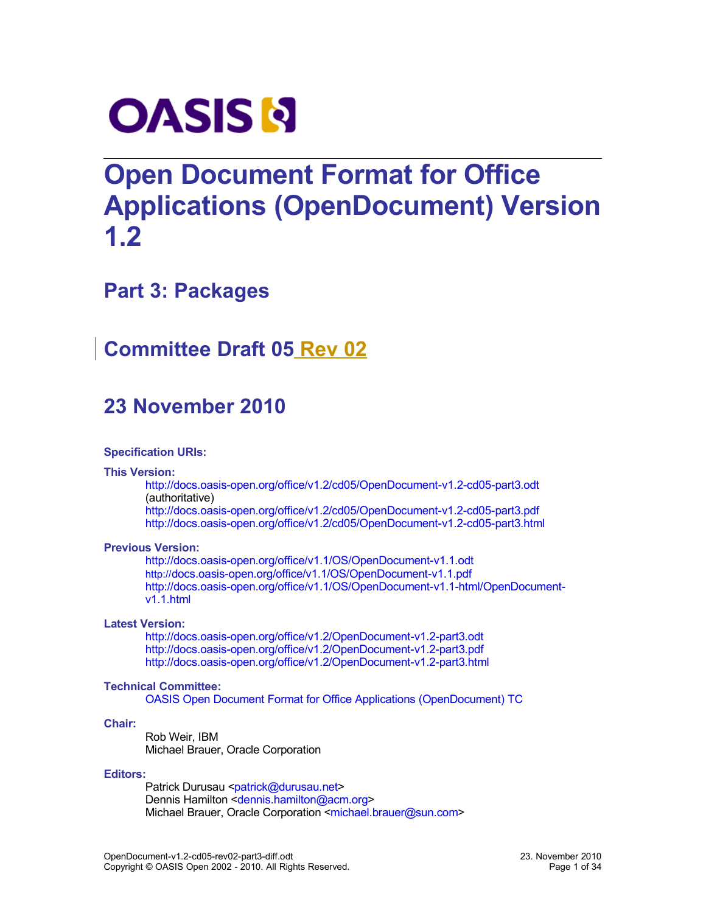

# **Open Document Format for Office Applications (OpenDocument) Version 1.2**

# **Part 3: Packages**

# **Committee Draft 05 Rev 02**

# **23 November 2010**

#### **Specification URIs:**

#### **This Version:**

[http://docs.oasis-open.org/office/v1.2/cd05/OpenDocument-v1.2-cd05-part3.odt](http://docs.oasis-open.org/office/v1.2/cd05/OpenDocument-v1.2-cd05-part3.pdf) (authoritative)

<http://docs.oasis-open.org/office/v1.2/cd05/OpenDocument-v1.2-cd05-part3.pdf> <http://docs.oasis-open.org/office/v1.2/cd05/OpenDocument-v1.2-cd05-part3.html>

#### **Previous Version:**

[http://docs.oasis-open.org/office/v1.1/OS/OpenDocument-v1.1.odt](http://docs.oasis-open.org/office/v1.1/OS/OpenDocument-v1.1.pdf) [http://](http://docs.oasis-open.org/office/v1.1/OS/OpenDocument-v1.1.pdf)[docs.oasis-open.org/office/v1.1/OS/OpenDocument-v1.1.pdf](http://docs.oasis-open.org/office/v1.1/OS/OpenDocument-v1.1.pdf) [http://docs.oasis-open.org/office/v1.1/OS/OpenDocument-v1.1-html/OpenDocument](http://docs.oasis-open.org/office/v1.1/OS/OpenDocument-v1.1-html/OpenDocument-v1.1.html)[v1.1.html](http://docs.oasis-open.org/office/v1.1/OS/OpenDocument-v1.1-html/OpenDocument-v1.1.html)

#### **Latest Version:**

[http://docs.oasis-open.org/office/v1.2/OpenDocument-v1.2-part3.odt](http://docs.oasis-open.org/office/v1.2/OpenDocument-v1.2-part3.pdf) <http://docs.oasis-open.org/office/v1.2/OpenDocument-v1.2-part3.pdf> <http://docs.oasis-open.org/office/v1.2/OpenDocument-v1.2-part3.html>

#### **Technical Committee:**

[OASIS Open Document Format for Office Applications \(OpenDocument\) TC](http://www.oasis-open.org/committees/tc_home.php?wg_abbrev=office)

#### **Chair:**

Rob Weir, IBM Michael Brauer, Oracle Corporation

#### **Editors:**

Patrick Durusau [<patrick@durusau.net>](mailto:patrick@durusau.net) Dennis Hamilton [<dennis.hamilton@acm.org>](mailto:dennis.hamilton@acm.org) Michael Brauer, Oracle Corporation [<michael.brauer@sun.com>](mailto:michael.brauer@sun.com)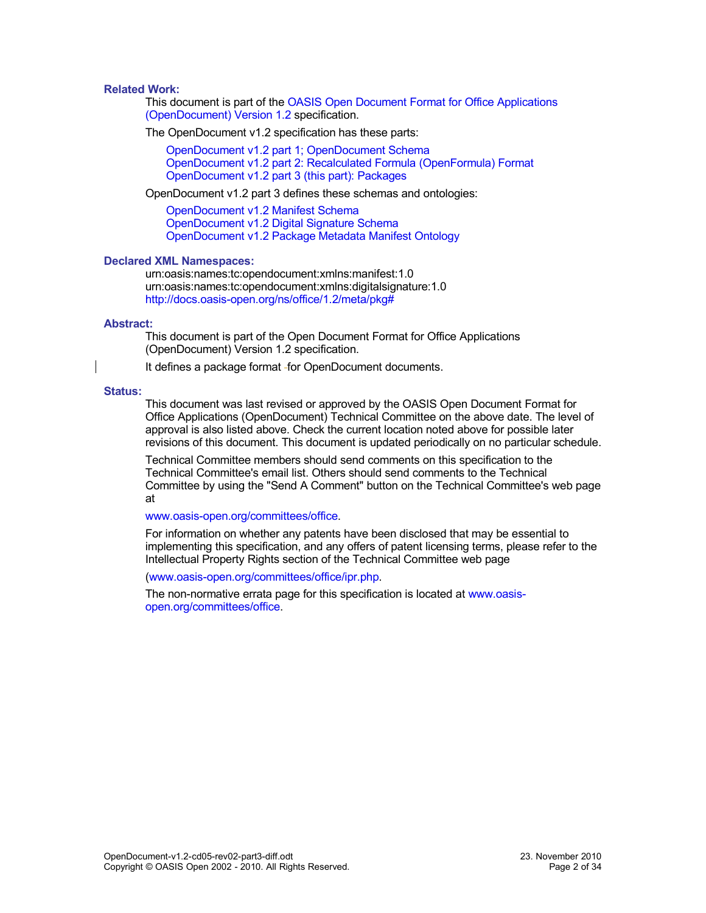#### <span id="page-1-0"></span>**Related Work:**

This document is part of the [OASIS Open Document Format for Office Applications](http://docs.oasis-open.org/office/v1.2/cd05/OpenDocument-v1.2-cd05.pdf) [\(OpenDocument\) Version 1.2](http://docs.oasis-open.org/office/v1.2/cd05/OpenDocument-v1.2-cd05.pdf) specification.

The OpenDocument v1.2 specification has these parts:

[OpenDocument v1.2 part 1; OpenDocument Schema](http://docs.oasis-open.org/office/v1.2/cd05/OpenDocument-v1.2-cd05-part1.pdf) [OpenDocument v1.2 part 2: Recalculated Formula \(OpenFormula\) Format](http://docs.oasis-open.org/office/v1.2/cd05/OpenDocument-v1.2-cd05-part2.pdf) [OpenDocument v1.2 part 3 \(this part\): Packages](http://docs.oasis-open.org/office/v1.2/cd05/OpenDocument-v1.2-cd05-part3.pdf)

OpenDocument v1.2 part 3 defines these schemas and ontologies:

[OpenDocument v1.2 Manifest Schema](http://docs.oasis-open.org/office/v1.2/cd05/OpenDocument-v1.2-cd05-manifest-schema.rng) [OpenDocument v1.2 Digital Signature Schema](http://docs.oasis-open.org/office/v1.2/cd05/OpenDocument-v1.2-cd05-dsig-schema.rng) [OpenDocument v1.2 Package Metadata Manifest Ontology](http://docs.oasis-open.org/office/v1.2/cd05/OpenDocument-v1.2-cd05-package-metadata.owl)

#### **Declared XML Namespaces:**

urn:oasis:names:tc:opendocument:xmlns:manifest:1.0 urn:oasis:names:tc:opendocument:xmlns:digitalsignature:1.0 <http://docs.oasis-open.org/ns/office/1.2/meta/pkg#>

#### **Abstract:**

This document is part of the Open Document Format for Office Applications (OpenDocument) Version 1.2 specification.

It defines a package format - for OpenDocument documents.

#### **Status:**

This document was last revised or approved by the OASIS Open Document Format for Office Applications (OpenDocument) Technical Committee on the above date. The level of approval is also listed above. Check the current location noted above for possible later revisions of this document. This document is updated periodically on no particular schedule.

Technical Committee members should send comments on this specification to the Technical Committee's email list. Others should send comments to the Technical Committee by using the "Send A Comment" button on the Technical Committee's web page at

#### [www.oasis-open.org/committees/office.](http://www.oasis-open.org/committees/office)

For information on whether any patents have been disclosed that may be essential to implementing this specification, and any offers of patent licensing terms, please refer to the Intellectual Property Rights section of the Technical Committee web page

[\(www.oasis-open.org/committees/office/ipr.php.](http://www.oasis-open.org/committees/office/ipr.php)

The non-normative errata page for this specification is located at [www.oasis](http://www.oasis-open.org/committees/office)[open.org/committees/office.](http://www.oasis-open.org/committees/office)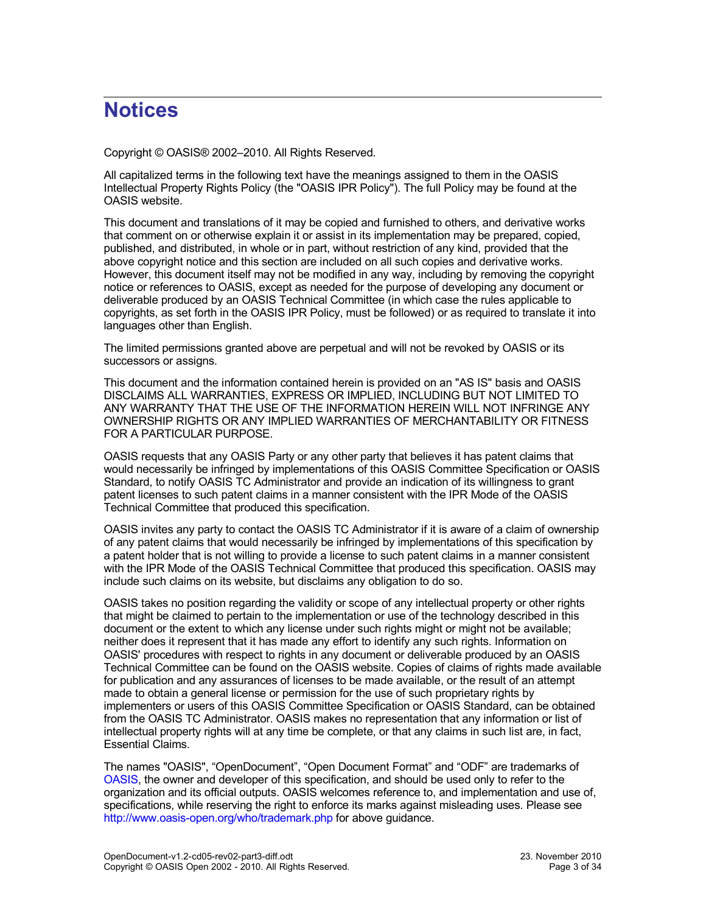# **Notices**

Copyright © OASIS® 2002–2010. All Rights Reserved.

All capitalized terms in the following text have the meanings assigned to them in the OASIS Intellectual Property Rights Policy (the "OASIS IPR Policy"). The full Policy may be found at the OASIS website.

This document and translations of it may be copied and furnished to others, and derivative works that comment on or otherwise explain it or assist in its implementation may be prepared, copied, published, and distributed, in whole or in part, without restriction of any kind, provided that the above copyright notice and this section are included on all such copies and derivative works. However, this document itself may not be modified in any way, including by removing the copyright notice or references to OASIS, except as needed for the purpose of developing any document or deliverable produced by an OASIS Technical Committee (in which case the rules applicable to copyrights, as set forth in the OASIS IPR Policy, must be followed) or as required to translate it into languages other than English.

The limited permissions granted above are perpetual and will not be revoked by OASIS or its successors or assigns.

This document and the information contained herein is provided on an "AS IS" basis and OASIS DISCLAIMS ALL WARRANTIES, EXPRESS OR IMPLIED, INCLUDING BUT NOT LIMITED TO ANY WARRANTY THAT THE USE OF THE INFORMATION HEREIN WILL NOT INFRINGE ANY OWNERSHIP RIGHTS OR ANY IMPLIED WARRANTIES OF MERCHANTABILITY OR FITNESS FOR A PARTICULAR PURPOSE.

OASIS requests that any OASIS Party or any other party that believes it has patent claims that would necessarily be infringed by implementations of this OASIS Committee Specification or OASIS Standard, to notify OASIS TC Administrator and provide an indication of its willingness to grant patent licenses to such patent claims in a manner consistent with the IPR Mode of the OASIS Technical Committee that produced this specification.

OASIS invites any party to contact the OASIS TC Administrator if it is aware of a claim of ownership of any patent claims that would necessarily be infringed by implementations of this specification by a patent holder that is not willing to provide a license to such patent claims in a manner consistent with the IPR Mode of the OASIS Technical Committee that produced this specification. OASIS may include such claims on its website, but disclaims any obligation to do so.

OASIS takes no position regarding the validity or scope of any intellectual property or other rights that might be claimed to pertain to the implementation or use of the technology described in this document or the extent to which any license under such rights might or might not be available; neither does it represent that it has made any effort to identify any such rights. Information on OASIS' procedures with respect to rights in any document or deliverable produced by an OASIS Technical Committee can be found on the OASIS website. Copies of claims of rights made available for publication and any assurances of licenses to be made available, or the result of an attempt made to obtain a general license or permission for the use of such proprietary rights by implementers or users of this OASIS Committee Specification or OASIS Standard, can be obtained from the OASIS TC Administrator. OASIS makes no representation that any information or list of intellectual property rights will at any time be complete, or that any claims in such list are, in fact, Essential Claims.

The names "OASIS", "OpenDocument", "Open Document Format" and "ODF" are trademarks of [OASIS,](http://www.oasis-open.org/) the owner and developer of this specification, and should be used only to refer to the organization and its official outputs. OASIS welcomes reference to, and implementation and use of, specifications, while reserving the right to enforce its marks against misleading uses. Please see <http://www.oasis-open.org/who/trademark.php>for above guidance.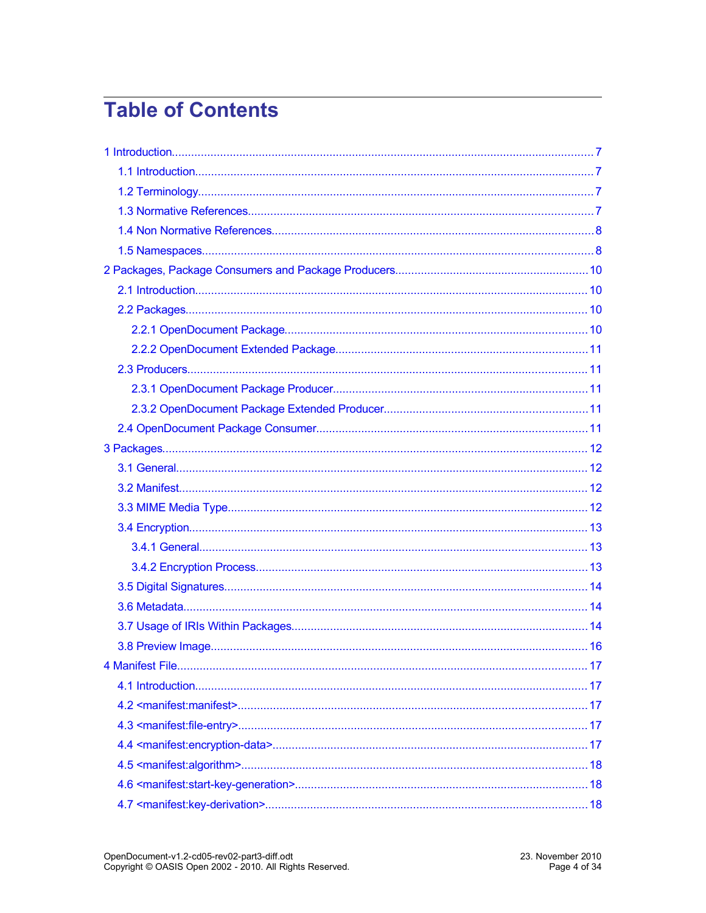# **Table of Contents**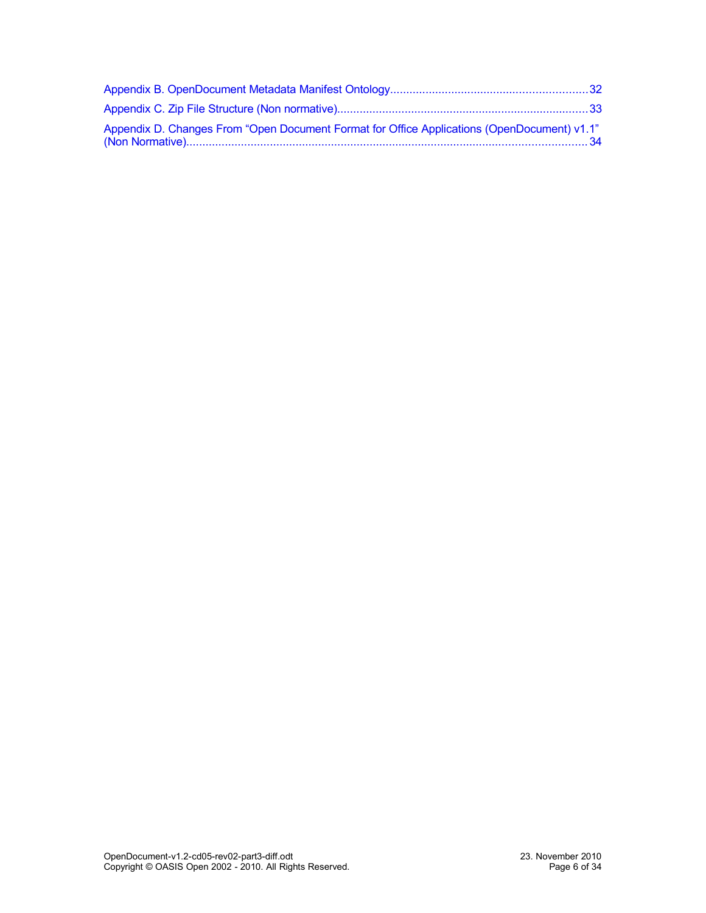| "Appendix D. Changes From "Open Document Format for Office Applications (OpenDocument) v1.1 |  |
|---------------------------------------------------------------------------------------------|--|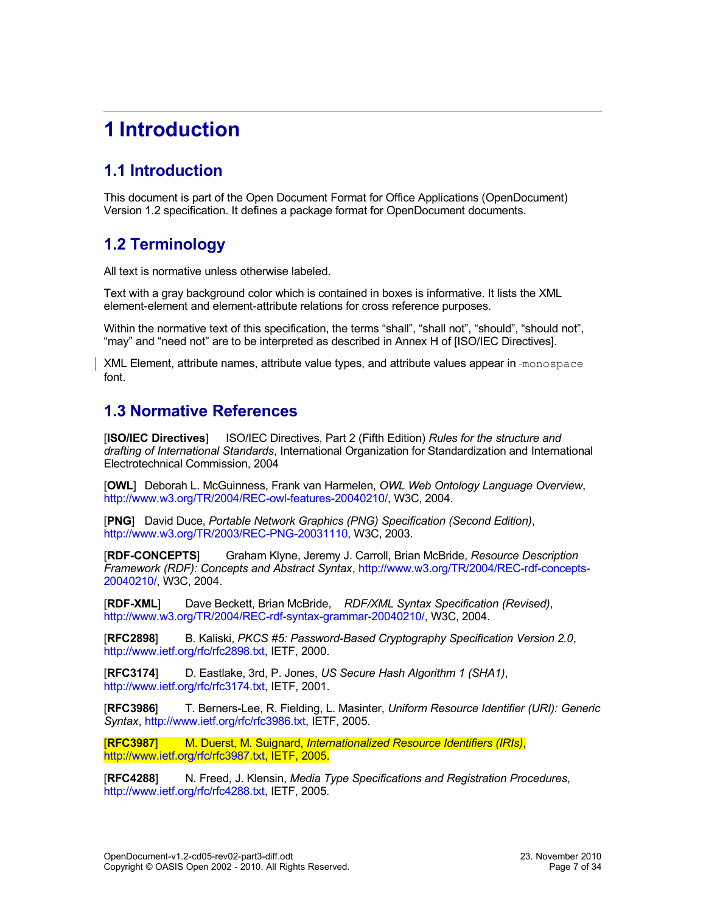# <span id="page-6-3"></span>**1 Introduction**

## <span id="page-6-2"></span>**1.1 Introduction**

This document is part of the Open Document Format for Office Applications (OpenDocument) Version 1.2 specification. It defines a package format for OpenDocument documents.

### <span id="page-6-1"></span>**1.2 Terminology**

All text is normative unless otherwise labeled.

Text with a gray background color which is contained in boxes is informative. It lists the XML element-element and element-attribute relations for cross reference purposes.

Within the normative text of this specification, the terms "shall", "shall not", "should", "should not", "may" and "need not" are to be interpreted as described in Annex H of [ISO/IEC Directives].

XML Element, attribute names, attribute value types, and attribute values appear in -monospace font.

### <span id="page-6-0"></span>**1.3 Normative References**

[**ISO/IEC Directives**] ISO/IEC Directives, Part 2 (Fifth Edition) *Rules for the structure and drafting of International Standards*, International Organization for Standardization and International Electrotechnical Commission, 2004

[**OWL**] Deborah L. McGuinness, Frank van Harmelen, *OWL Web Ontology Language Overview*, [http://www.w3.org/TR/2004/REC-owl-features-20040210/,](http://www.w3.org/TR/2004/REC-owl-features-20040210/) W3C, 2004.

[**PNG**] David Duce, *Portable Network Graphics (PNG) Specification (Second Edition)*, [http://www.w3.org/TR/2003/REC-PNG-20031110,](http://www.w3.org/TR/2003/REC-PNG-20031110) W3C, 2003.

[**RDF-CONCEPTS**] Graham Klyne, Jeremy J. Carroll, Brian McBride, *Resource Description Framework (RDF): Concepts and Abstract Syntax*, [http://www.w3.org/TR/2004/REC-rdf-concepts-](http://www.w3.org/TR/2004/REC-rdf-concepts-20040210/)[20040210/,](http://www.w3.org/TR/2004/REC-rdf-concepts-20040210/) W3C, 2004.

[**RDF-XML**] Dave Beckett, Brian McBride, *RDF/XML Syntax Specification (Revised)*, [http://www.w3.org/TR/2004/REC-rdf-syntax-grammar-20040210/,](http://www.w3.org/TR/2004/REC-rdf-syntax-grammar-20040210/) W3C, 2004.

[**RFC2898**] B. Kaliski, *PKCS #5: Password-Based Cryptography Specification Version 2.0*, [http://www.ietf.org/rfc/rfc2898.txt,](http://www.ietf.org/rfc/rfc2898.txt) IETF, 2000.

[**RFC3174**] D. Eastlake, 3rd, P. Jones, *US Secure Hash Algorithm 1 (SHA1)*, [http://www.ietf.org/rfc/rfc3174.txt,](http://www.ietf.org/rfc/rfc3174.txt) IETF, 2001.

[**RFC3986**] T. Berners-Lee, R. Fielding, L. Masinter, *Uniform Resource Identifier (URI): Generic Syntax*, [http://www.ietf.org/rfc/rfc3986.txt,](http://www.ietf.org/rfc/rfc3986.txt) IETF, 2005.

[**RFC3987**] M. Duerst, M. Suignard, *Internationalized Resource Identifiers (IRIs)*, [http://www.ietf.org/rfc/rfc3987.txt,](http://www.ietf.org/rfc/rfc3987.txt) IETF, 2005.

[**RFC4288**] N. Freed, J. Klensin, *Media Type Specifications and Registration Procedures*, [http://www.ietf.org/rfc/rfc4288.txt,](http://www.ietf.org/rfc/rfc4288.txt) IETF, 2005.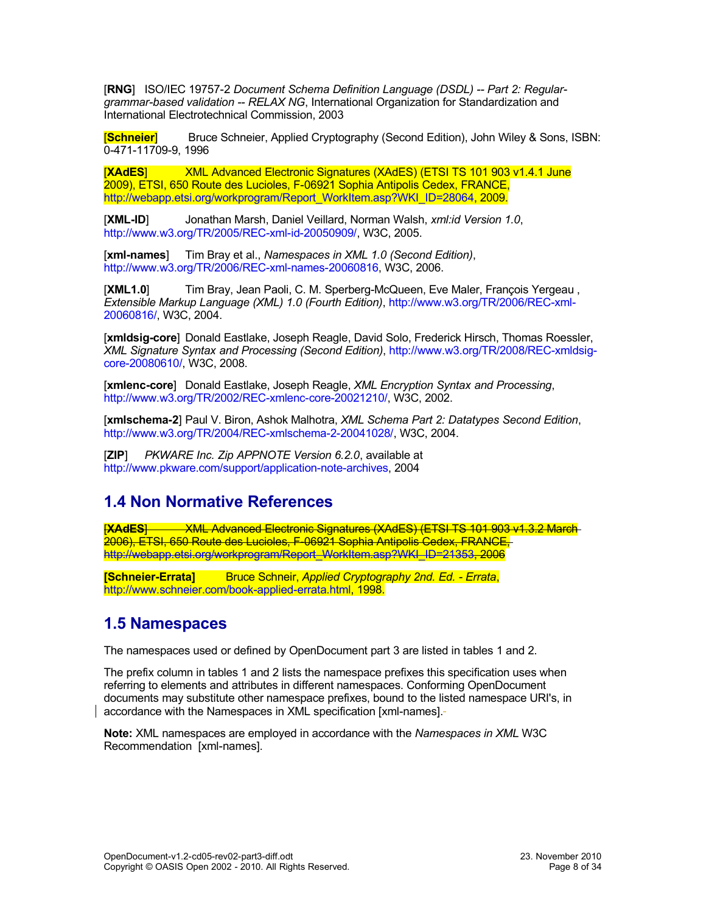[**RNG**] ISO/IEC 19757-2 *Document Schema Definition Language (DSDL) -- Part 2: Regulargrammar-based validation -- RELAX NG*, International Organization for Standardization and International Electrotechnical Commission, 2003

[**Schneier**] Bruce Schneier, Applied Cryptography (Second Edition), John Wiley & Sons, ISBN: 0-471-11709-9, 1996

[**XAdES**] XML Advanced Electronic Signatures (XAdES) (ETSI TS 101 903 v1.4.1 June 2009), ETSI, 650 Route des Lucioles, F-06921 Sophia Antipolis Cedex, FRANCE, [http://webapp.etsi.org/workprogram/Report\\_WorkItem.asp?WKI\\_ID=28064,](http://webapp.etsi.org/workprogram/Report_WorkItem.asp?WKI_ID=28064) 2009.

[**XML-ID**] Jonathan Marsh, Daniel Veillard, Norman Walsh, *xml:id Version 1.0*, [http://www.w3.org/TR/2005/REC-xml-id-20050909/,](http://www.w3.org/TR/2005/REC-xml-id-20050909/) W3C, 2005.

[**xml-names**] Tim Bray et al., *Namespaces in XML 1.0 (Second Edition)*, [http://www.w3.org/TR/2006/REC-xml-names-20060816,](http://www.w3.org/TR/2006/REC-xml-names-20060816) W3C, 2006.

[**XML1.0**] Tim Bray, Jean Paoli, C. M. Sperberg-McQueen, Eve Maler, François Yergeau , *Extensible Markup Language (XML) 1.0 (Fourth Edition)*, [http://www.w3.org/TR/2006/REC-xml-](http://www.w3.org/TR/2006/REC-xml-20060816/)[20060816/,](http://www.w3.org/TR/2006/REC-xml-20060816/) W3C, 2004.

[**xmldsig-core**] Donald Eastlake, Joseph Reagle, David Solo, Frederick Hirsch, Thomas Roessler, *XML Signature Syntax and Processing (Second Edition)*, [http://www.w3.org/TR/2008/REC-xmldsig](http://www.w3.org/TR/2008/REC-xmldsig-core-20080610/)[core-20080610/,](http://www.w3.org/TR/2008/REC-xmldsig-core-20080610/) W3C, 2008.

[**xmlenc-core**] Donald Eastlake, Joseph Reagle, *XML Encryption Syntax and Processing*, [http://www.w3.org/TR/2002/REC-xmlenc-core-20021210/,](http://www.w3.org/TR/2002/REC-xmlenc-core-20021210/) W3C, 2002.

[**xmlschema-2**] Paul V. Biron, Ashok Malhotra, *XML Schema Part 2: Datatypes Second Edition*, [http://www.w3.org/TR/2004/REC-xmlschema-2-20041028/,](http://www.w3.org/TR/2004/REC-xmlschema-2-20041028/) W3C, 2004.

[**ZIP**] *PKWARE Inc. Zip APPNOTE Version 6.2.0*, available at [http://www.pkware.com/support/application-note-archives,](http://www.pkware.com/support/application-note-archives) 2004

### <span id="page-7-1"></span>**1.4 Non Normative References**

**[XAdES**] WAL Advanced Electronic Signatures (XAdES) (ETSI TS 101 903 v1.3.2 March 2006), ETSI, 650 Route des Lucioles, F-06921 Sophia Antipolis Cedex, FRANCE, [http://webapp.etsi.org/workprogram/Report\\_WorkItem.asp?WKI\\_ID=21353,](http://webapp.etsi.org/workprogram/Report_WorkItem.asp?WKI_ID=21353) 2006

**[Schneier-Errata]** Bruce Schneir, *Applied Cryptography 2nd. Ed. - Errata*, [http://www.schneier.com/book-applied-errata.html,](http://www.schneier.com/book-applied-errata.html) 1998.

### <span id="page-7-0"></span>**1.5 Namespaces**

The namespaces used or defined by OpenDocument part 3 are listed in tables 1 and 2.

The prefix column in tables 1 and 2 lists the namespace prefixes this specification uses when referring to elements and attributes in different namespaces. Conforming OpenDocument documents may substitute other namespace prefixes, bound to the listed namespace URI's, in accordance with the Namespaces in XML specification [xml-names].

**Note:** XML namespaces are employed in accordance with the *Namespaces in XML* W3C Recommendation [xml-names].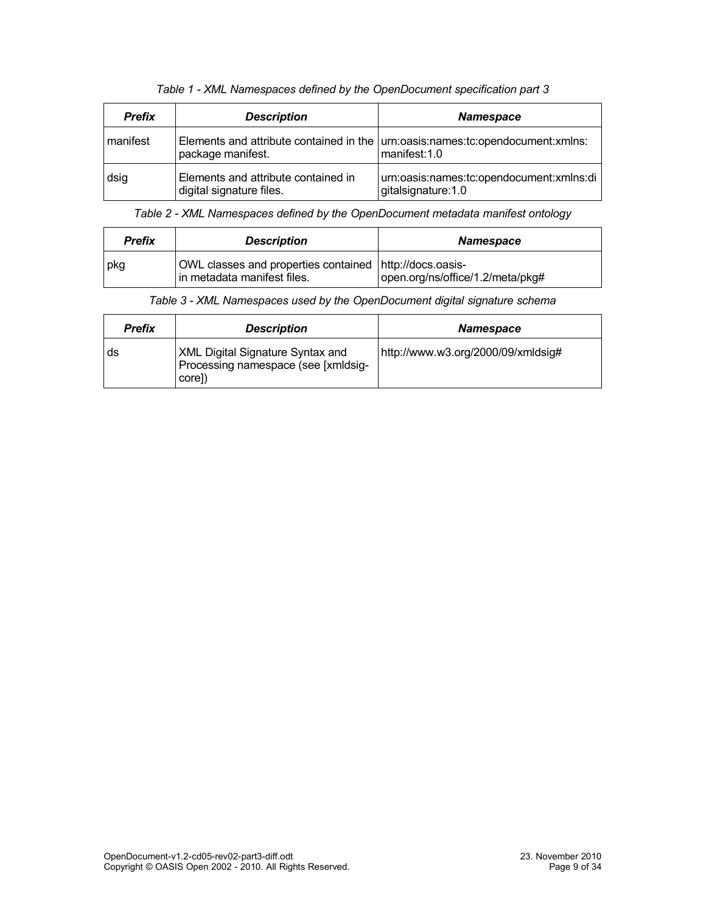| <b>Prefix</b> | <b>Description</b>                                              | <b>Namespace</b>                                                                                   |
|---------------|-----------------------------------------------------------------|----------------------------------------------------------------------------------------------------|
| manifest      | package manifest.                                               | Elements and attribute contained in the $ $ um:oasis:names:tc:opendocument:xmlns:<br>manifest: 1.0 |
| dsig          | Elements and attribute contained in<br>digital signature files. | urn:oasis:names:tc:opendocument:xmlns:di<br>gitalsignature: 1.0                                    |

*Table 1 - XML Namespaces defined by the OpenDocument specification part 3*

*Table 2 - XML Namespaces defined by the OpenDocument metadata manifest ontology*

| <b>Prefix</b> | <b>Description</b>                                                                     | <b>Namespace</b>                 |
|---------------|----------------------------------------------------------------------------------------|----------------------------------|
| pkg           | OWL classes and properties contained http://docs.oasis-<br>in metadata manifest files. | open.org/ns/office/1.2/meta/pkg# |

| <b>Prefix</b> | <b>Description</b>                                                                       | <b>Namespace</b>                   |
|---------------|------------------------------------------------------------------------------------------|------------------------------------|
| ds            | <b>XML Digital Signature Syntax and</b><br>Processing namespace (see [xmldsig-<br>core]) | http://www.w3.org/2000/09/xmldsig# |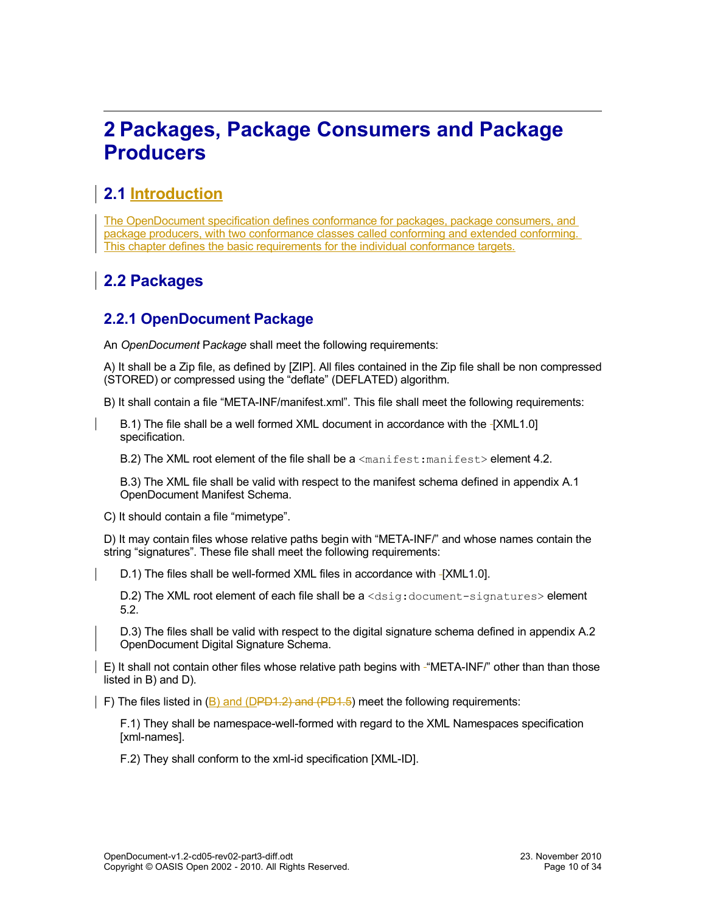# <span id="page-9-3"></span>**2 Packages, Package Consumers and Package Producers**

### <span id="page-9-2"></span>**2.1 Introduction**

The OpenDocument specification defines conformance for packages, package consumers, and package producers, with two conformance classes called conforming and extended conforming. This chapter defines the basic requirements for the individual conformance targets.

## <span id="page-9-1"></span>**2.2 Packages**

### <span id="page-9-0"></span>**2.2.1 OpenDocument Package**

An *OpenDocument* P*ackage* shall meet the following requirements:

A) It shall be a Zip file, as defined by [ZIP]. All files contained in the Zip file shall be non compressed (STORED) or compressed using the "deflate" (DEFLATED) algorithm.

B) It shall contain a file "META-INF/manifest.xml". This file shall meet the following requirements:

B.1) The file shall be a well formed XML document in accordance with the -[XML1.0] specification.

B.2) The XML root element of the file shall be a  $\leq$ manifest:manifest> element [4.2.](#page-17-2)

B.3) The XML file shall be valid with respect to the manifest schema defined in appendix A.1 OpenDocument Manifest Schema.

C) It should contain a file "mimetype".

D) It may contain files whose relative paths begin with "META-INF/" and whose names contain the string "signatures". These file shall meet the following requirements:

D.1) The files shall be well-formed XML files in accordance with [XML1.0].

D.2) The XML root element of each file shall be a <dsig:document-signatures> element [5.2.](#page-25-1)

D.3) The files shall be valid with respect to the digital signature schema defined in appendix A.2 OpenDocument Digital Signature Schema.

E) It shall not contain other files whose relative path begins with "META-INF/" other than than those listed in B) and D).

F) The files listed in (B) and (DPD1.2) and (PD1.5) meet the following requirements:

F.1) They shall be namespace-well-formed with regard to the XML Namespaces specification [xml-names].

F.2) They shall conform to the xml-id specification [XML-ID].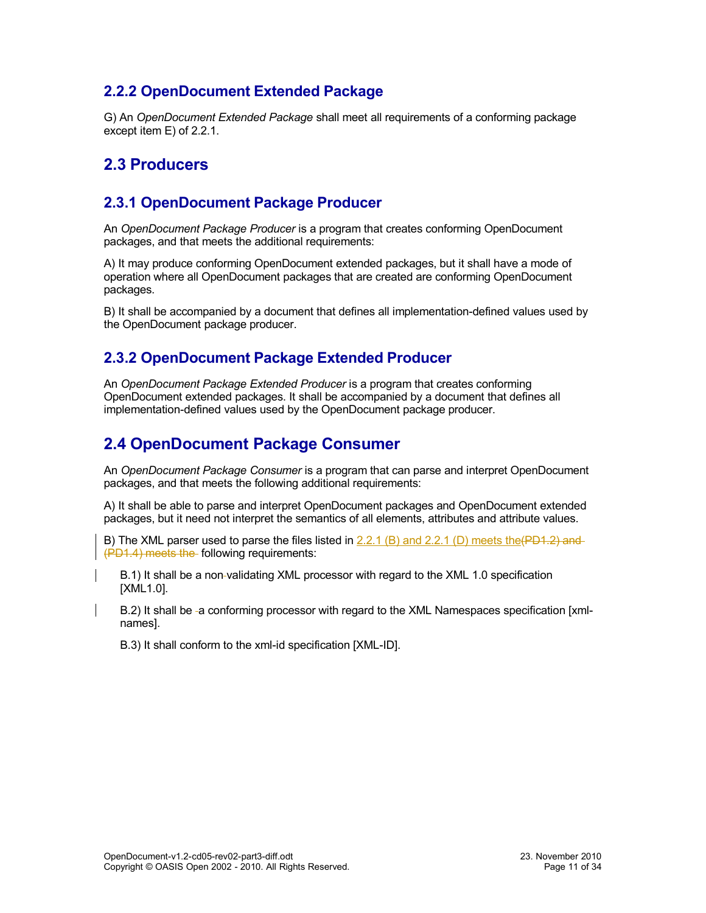### <span id="page-10-4"></span>**2.2.2 OpenDocument Extended Package**

G) An *OpenDocument Extended Package* shall meet all requirements of a conforming package except item E) of [2.2.1.](#page-9-0)

### <span id="page-10-3"></span>**2.3 Producers**

#### <span id="page-10-2"></span>**2.3.1 OpenDocument Package Producer**

An *OpenDocument Package Producer* is a program that creates conforming OpenDocument packages, and that meets the additional requirements:

A) It may produce conforming OpenDocument extended packages, but it shall have a mode of operation where all OpenDocument packages that are created are conforming OpenDocument packages.

B) It shall be accompanied by a document that defines all implementation-defined values used by the OpenDocument package producer.

#### <span id="page-10-1"></span>**2.3.2 OpenDocument Package Extended Producer**

An *OpenDocument Package Extended Producer* is a program that creates conforming OpenDocument extended packages. It shall be accompanied by a document that defines all implementation-defined values used by the OpenDocument package producer.

### <span id="page-10-0"></span>**2.4 OpenDocument Package Consumer**

An *OpenDocument Package Consumer* is a program that can parse and interpret OpenDocument packages, and that meets the following additional requirements:

A) It shall be able to parse and interpret OpenDocument packages and OpenDocument extended packages, but it need not interpret the semantics of all elements, attributes and attribute values.

B) The XML parser used to parse the files listed in  $2.2.1$  (B) and  $2.2.1$  (D) meets the (PD1.2) and (PD1.4) meets the following requirements:

B.1) It shall be a non validating XML processor with regard to the XML 1.0 specification [XML1.0].

B.2) It shall be -a conforming processor with regard to the XML Namespaces specification [xmlnames].

B.3) It shall conform to the xml-id specification [XML-ID].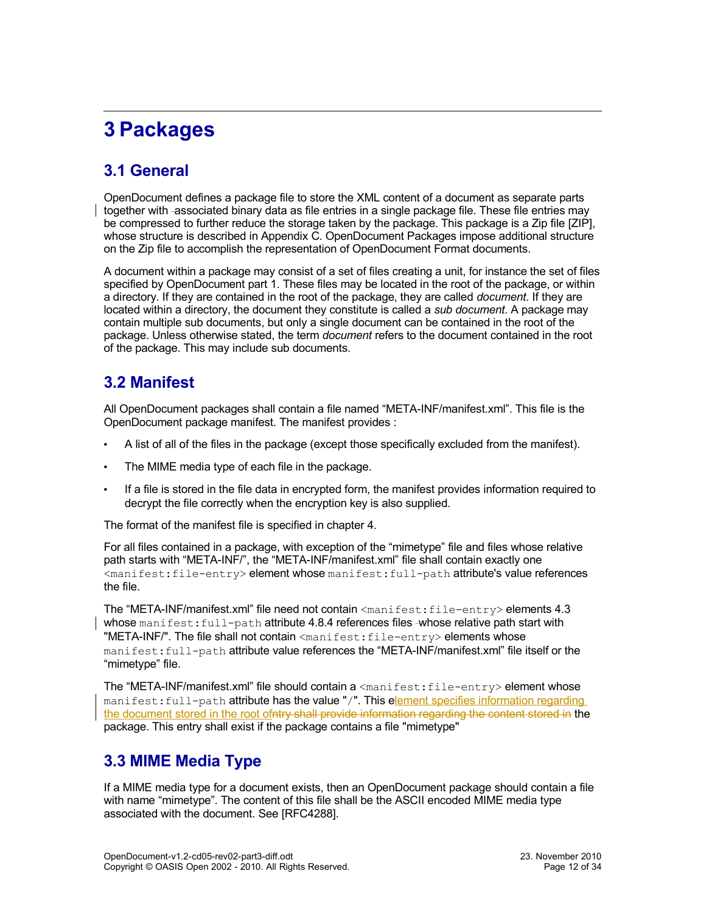# <span id="page-11-3"></span>**3 Packages**

## <span id="page-11-2"></span>**3.1 General**

OpenDocument defines a package file to store the XML content of a document as separate parts together with associated binary data as file entries in a single package file. These file entries may be compressed to further reduce the storage taken by the package. This package is a Zip file [ZIP], whose structure is described in Appendix C. OpenDocument Packages impose additional structure on the Zip file to accomplish the representation of OpenDocument Format documents.

A document within a package may consist of a set of files creating a unit, for instance the set of files specified by OpenDocument part 1. These files may be located in the root of the package, or within a directory. If they are contained in the root of the package, they are called *document*. If they are located within a directory, the document they constitute is called a *sub document*. A package may contain multiple sub documents, but only a single document can be contained in the root of the package. Unless otherwise stated, the term *document* refers to the document contained in the root of the package. This may include sub documents.

### <span id="page-11-1"></span>**3.2 Manifest**

All OpenDocument packages shall contain a file named "META-INF/manifest.xml". This file is the OpenDocument package manifest. The manifest provides :

- A list of all of the files in the package (except those specifically excluded from the manifest).
- The MIME media type of each file in the package.
- If a file is stored in the file data in encrypted form, the manifest provides information required to decrypt the file correctly when the encryption key is also supplied.

The format of the manifest file is specified in chapter [4.](#page-17-4)

For all files contained in a package, with exception of the "mimetype" file and files whose relative path starts with "META-INF/", the "META-INF/manifest.xml" file shall contain exactly one <manifest:file-entry> element whose manifest:full-path attribute's value references the file.

The "META-INF/manifest.xml" file need not contain <manifest:file-entry> elements [4.3](#page-17-1) whose manifest: full-path attribute [4.8.4](#page-21-2) references files -whose relative path start with "META-INF/". The file shall not contain <manifest:file-entry> elements whose manifest:full-path attribute value references the "META-INF/manifest.xml" file itself or the "mimetype" file.

The "META-INF/manifest.xml" file should contain a  $\langle$ manifest:file-entry> element whose manifest:full-path attribute has the value "/". This element specifies information regarding the document stored in the root ofntry shall provide information regarding the content stored in the package. This entry shall exist if the package contains a file "mimetype"

### <span id="page-11-0"></span>**3.3 MIME Media Type**

If a MIME media type for a document exists, then an OpenDocument package should contain a file with name "mimetype". The content of this file shall be the ASCII encoded MIME media type associated with the document. See [RFC4288].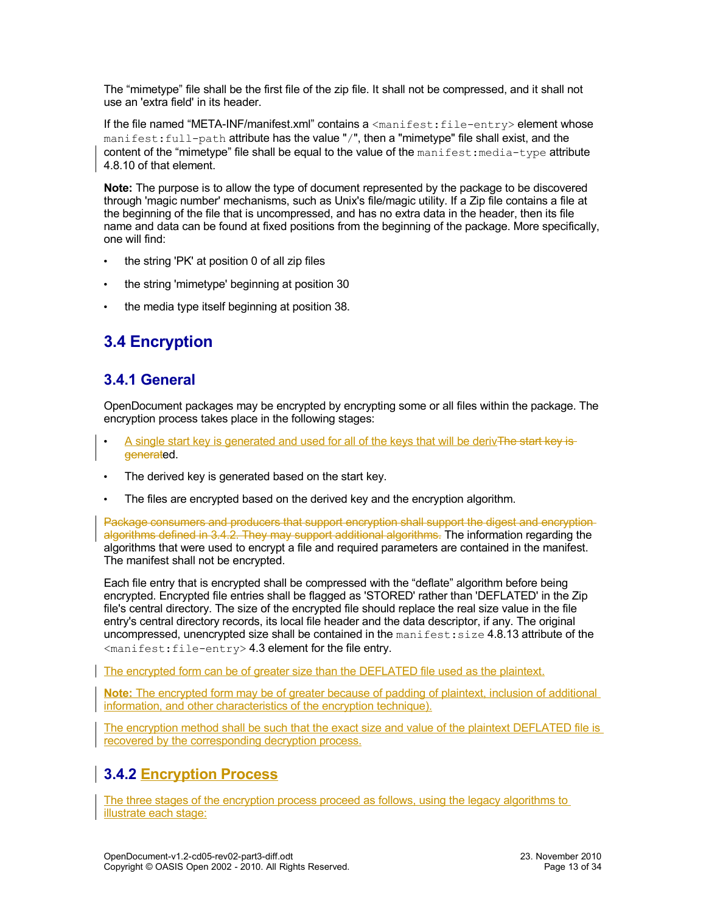The "mimetype" file shall be the first file of the zip file. It shall not be compressed, and it shall not use an 'extra field' in its header.

If the file named "META-INF/manifest.xml" contains a <manifest:file-entry> element whose manifest:full-path attribute has the value "/", then a "mimetype" file shall exist, and the content of the "mimetype" file shall be equal to the value of the  $\text{mantest:median-type}$  attribute [4.8.10](#page-23-1) of that element.

**Note:** The purpose is to allow the type of document represented by the package to be discovered through 'magic number' mechanisms, such as Unix's file/magic utility. If a Zip file contains a file at the beginning of the file that is uncompressed, and has no extra data in the header, then its file name and data can be found at fixed positions from the beginning of the package. More specifically, one will find:

- the string 'PK' at position 0 of all zip files
- the string 'mimetype' beginning at position 30
- the media type itself beginning at position 38.

## <span id="page-12-2"></span>**3.4 Encryption**

### <span id="page-12-1"></span>**3.4.1 General**

OpenDocument packages may be encrypted by encrypting some or all files within the package. The encryption process takes place in the following stages:

- A single start key is generated and used for all of the keys that will be derivThe start key isgenerated.
- The derived key is generated based on the start key.
- The files are encrypted based on the derived key and the encryption algorithm.

Package consumers and producers that support encryption shall support the digest and encryption algorithms defined in [3.4.2.](#page-12-0) They may support additional algorithms. The information regarding the algorithms that were used to encrypt a file and required parameters are contained in the manifest. The manifest shall not be encrypted.

Each file entry that is encrypted shall be compressed with the "deflate" algorithm before being encrypted. Encrypted file entries shall be flagged as 'STORED' rather than 'DEFLATED' in the Zip file's central directory. The size of the encrypted file should replace the real size value in the file entry's central directory records, its local file header and the data descriptor, if any. The original uncompressed, unencrypted size shall be contained in the manifest: size [4.8.13](#page-24-1) attribute of the <manifest:file-entry> [4.3](#page-17-1) element for the file entry.

The encrypted form can be of greater size than the DEFLATED file used as the plaintext.

**Note:** The encrypted form may be of greater because of padding of plaintext, inclusion of additional information, and other characteristics of the encryption technique).

The encryption method shall be such that the exact size and value of the plaintext DEFLATED file is recovered by the corresponding decryption process.

### <span id="page-12-0"></span>**3.4.2 Encryption Process**

The three stages of the encryption process proceed as follows, using the legacy algorithms to illustrate each stage: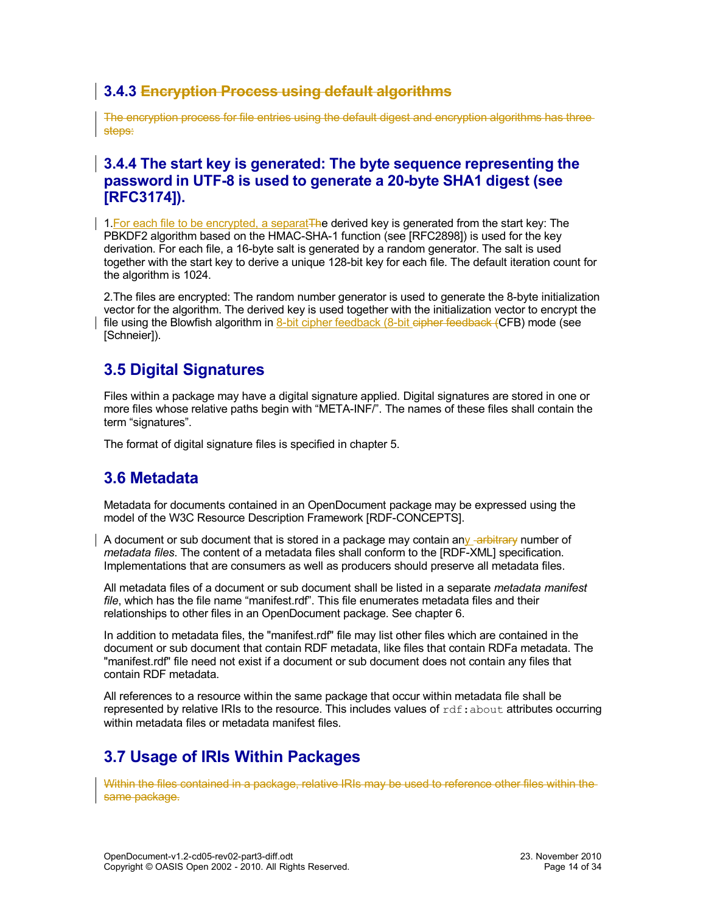### **3.4.3 Encryption Process using default algorithms**

The encryption process for file entries using the default digest and encryption algorithms has three steps:

#### **3.4.4 The start key is generated: The byte sequence representing the password in UTF-8 is used to generate a 20-byte SHA1 digest (see [RFC3174]).**

1. For each file to be encrypted, a separat The derived key is generated from the start key: The PBKDF2 algorithm based on the HMAC-SHA-1 function (see [RFC2898]) is used for the key derivation. For each file, a 16-byte salt is generated by a random generator. The salt is used together with the start key to derive a unique 128-bit key for each file. The default iteration count for the algorithm is 1024.

2.The files are encrypted: The random number generator is used to generate the 8-byte initialization vector for the algorithm. The derived key is used together with the initialization vector to encrypt the file using the Blowfish algorithm in 8-bit cipher feedback (8-bit cipher feedback (CFB) mode (see [Schneier]).

### <span id="page-13-2"></span>**3.5 Digital Signatures**

Files within a package may have a digital signature applied. Digital signatures are stored in one or more files whose relative paths begin with "META-INF/". The names of these files shall contain the term "signatures".

The format of digital signature files is specified in chapter [5.](#page-25-3)

### <span id="page-13-1"></span>**3.6 Metadata**

Metadata for documents contained in an OpenDocument package may be expressed using the model of the W3C Resource Description Framework [RDF-CONCEPTS].

A document or sub document that is stored in a package may contain any -arbitrary number of *metadata files*. The content of a metadata files shall conform to the [RDF-XML] specification. Implementations that are consumers as well as producers should preserve all metadata files.

All metadata files of a document or sub document shall be listed in a separate *metadata manifest file*, which has the file name "manifest.rdf". This file enumerates metadata files and their relationships to other files in an OpenDocument package. See chapter [6.](#page-28-6)

In addition to metadata files, the "manifest.rdf" file may list other files which are contained in the document or sub document that contain RDF metadata, like files that contain RDFa metadata. The "manifest.rdf" file need not exist if a document or sub document does not contain any files that contain RDF metadata.

All references to a resource within the same package that occur within metadata file shall be represented by relative IRIs to the resource. This includes values of  $\text{rdf:about attributes occurring}$ within metadata files or metadata manifest files.

## <span id="page-13-0"></span>**3.7 Usage of IRIs Within Packages**

Within the files contained in a package, relative IRIs may be used to reference other files within the same package.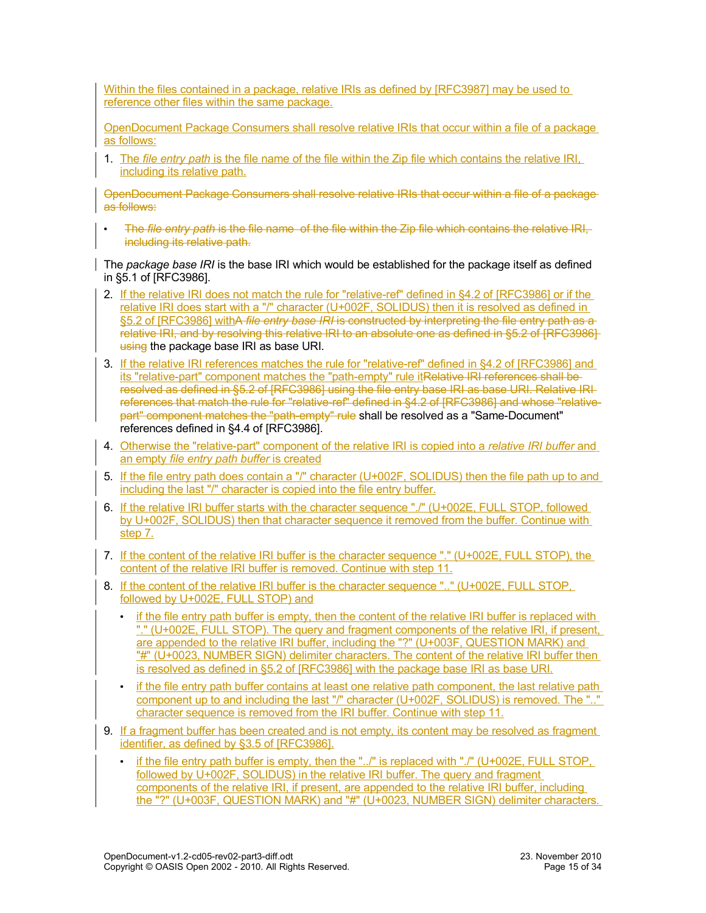Within the files contained in a package, relative IRIs as defined by [RFC3987] may be used to reference other files within the same package.

OpenDocument Package Consumers shall resolve relative IRIs that occur within a file of a package as follows:

1. The *file entry path* is the file name of the file within the Zip file which contains the relative IRI, including its relative path.

OpenDocument Package Consumers shall resolve relative IRIs that occur within a file of a package as follows:

• The *file entry path* is the file name of the file within the Zip file which contains the relative IRI, including its relative path.

The *package base IRI* is the base IRI which would be established for the package itself as defined in §5.1 of [RFC3986].

- 2. If the relative IRI does not match the rule for "relative-ref" defined in §4.2 of [RFC3986] or if the relative IRI does start with a "/" character (U+002F, SOLIDUS) then it is resolved as defined in §5.2 of [RFC3986] withA *file entry base IRI* is constructed by interpreting the file entry path as a relative IRI, and by resolving this relative IRI to an absolute one as defined in §5.2 of [RFC3986] using the package base IRI as base URI.
- 3. If the relative IRI references matches the rule for "relative-ref" defined in §4.2 of [RFC3986] and its "relative-part" component matches the "path-empty" rule itRelative IRI references shall be resolved as defined in §5.2 of [RFC3986] using the file entry base IRI as base URI. Relative IRI references that match the rule for "relative-ref" defined in §4.2 of [RFC3986] and whose "relativepart" component matches the "path-empty" rule shall be resolved as a "Same-Document" references defined in §4.4 of [RFC3986].
- 4. Otherwise the "relative-part" component of the relative IRI is copied into a *relative IRI buffer* and an empty *file entry path buffer* is created
- 5. If the file entry path does contain a "/" character (U+002F, SOLIDUS) then the file path up to and including the last "/" character is copied into the file entry buffer.
- 6. If the relative IRI buffer starts with the character sequence "./" (U+002E, FULL STOP, followed by U+002F, SOLIDUS) then that character sequence it removed from the buffer. Continue with step 7.
- 7. If the content of the relative IRI buffer is the character sequence "." (U+002E, FULL STOP), the content of the relative IRI buffer is removed. Continue with step 11.
- 8. If the content of the relative IRI buffer is the character sequence ".." (U+002E, FULL STOP, followed by U+002E, FULL STOP) and
	- if the file entry path buffer is empty, then the content of the relative IRI buffer is replaced with "." (U+002E, FULL STOP). The query and fragment components of the relative IRI, if present, are appended to the relative IRI buffer, including the "?" (U+003F, QUESTION MARK) and "#" (U+0023, NUMBER SIGN) delimiter characters. The content of the relative IRI buffer then is resolved as defined in §5.2 of [RFC3986] with the package base IRI as base URI.
	- if the file entry path buffer contains at least one relative path component, the last relative path component up to and including the last "/" character (U+002F, SOLIDUS) is removed. The ".." character sequence is removed from the IRI buffer. Continue with step 11.
- 9. If a fragment buffer has been created and is not empty, its content may be resolved as fragment identifier, as defined by §3.5 of [RFC3986].
	- if the file entry path buffer is empty, then the "../" is replaced with "./" (U+002E, FULL STOP, followed by U+002F, SOLIDUS) in the relative IRI buffer. The query and fragment components of the relative IRI, if present, are appended to the relative IRI buffer, including the "?" (U+003F, QUESTION MARK) and "#" (U+0023, NUMBER SIGN) delimiter characters.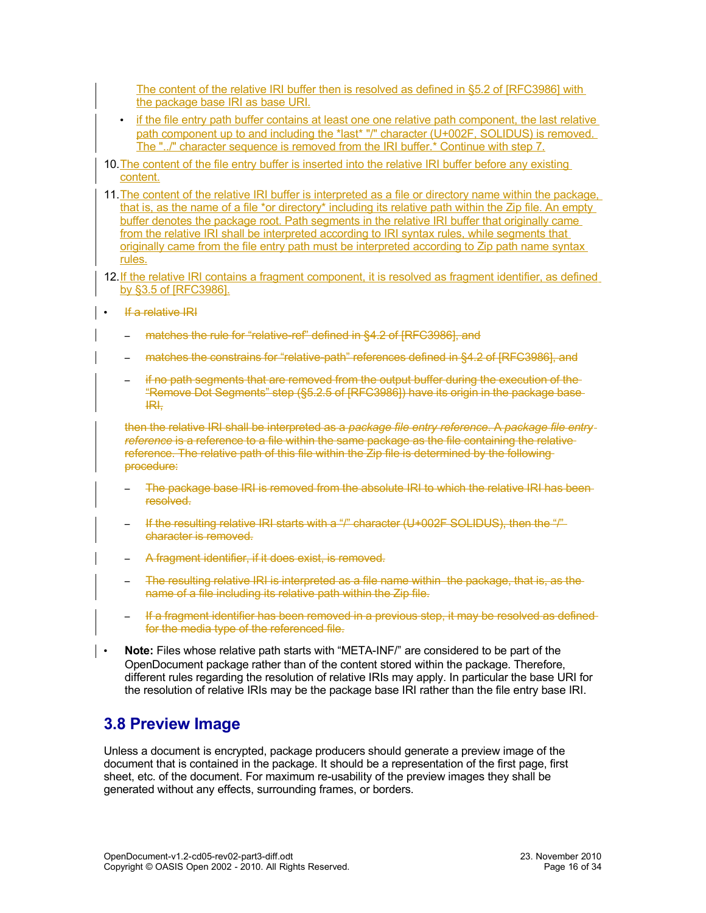The content of the relative IRI buffer then is resolved as defined in §5.2 of [RFC3986] with the package base IRI as base URI.

- if the file entry path buffer contains at least one one relative path component, the last relative path component up to and including the \*last\* "/" character (U+002F, SOLIDUS) is removed. The "../" character sequence is removed from the IRI buffer.\* Continue with step 7.
- 10. The content of the file entry buffer is inserted into the relative IRI buffer before any existing content.
- 11.The content of the relative IRI buffer is interpreted as a file or directory name within the package, that is, as the name of a file \*or directory\* including its relative path within the Zip file. An empty buffer denotes the package root. Path segments in the relative IRI buffer that originally came from the relative IRI shall be interpreted according to IRI syntax rules, while segments that originally came from the file entry path must be interpreted according to Zip path name syntax rules.
- 12. If the relative IRI contains a fragment component, it is resolved as fragment identifier, as defined by §3.5 of [RFC3986].
- If a relative IRI
	- matches the rule for "relative-ref" defined in §4.2 of [RFC3986], and
	- matches the constrains for "relative-path" references defined in §4.2 of [RFC3986], and
	- if no path segments that are removed from the output buffer during the execution of the "Remove Dot Segments" step (§5.2.5 of [RFC3986]) have its origin in the package base IRI,

then the relative IRI shall be interpreted as a *package file entry reference*. A *package file entry* reference is a reference to a file within the same package as the file containing the relative reference. The relative path of this file within the Zip file is determined by the following procedure:

- The package base IRI is removed from the absolute IRI to which the relative IRI has beenresolved.
- If the resulting relative IRI starts with a "/" character (U+002F SOLIDUS), then the "/" character is removed.
- A fragment identifier, if it does exist, is removed.
- The resulting relative IRI is interpreted as a file name within the package, that is, as the name of a file including its relative path within the Zip file.
- If a fragment identifier has been removed in a previous step, it may be resolved as defined for the media type of the referenced file.
- **Note:** Files whose relative path starts with "META-INF/" are considered to be part of the OpenDocument package rather than of the content stored within the package. Therefore, different rules regarding the resolution of relative IRIs may apply. In particular the base URI for the resolution of relative IRIs may be the package base IRI rather than the file entry base IRI.

### <span id="page-15-0"></span>**3.8 Preview Image**

Unless a document is encrypted, package producers should generate a preview image of the document that is contained in the package. It should be a representation of the first page, first sheet, etc. of the document. For maximum re-usability of the preview images they shall be generated without any effects, surrounding frames, or borders.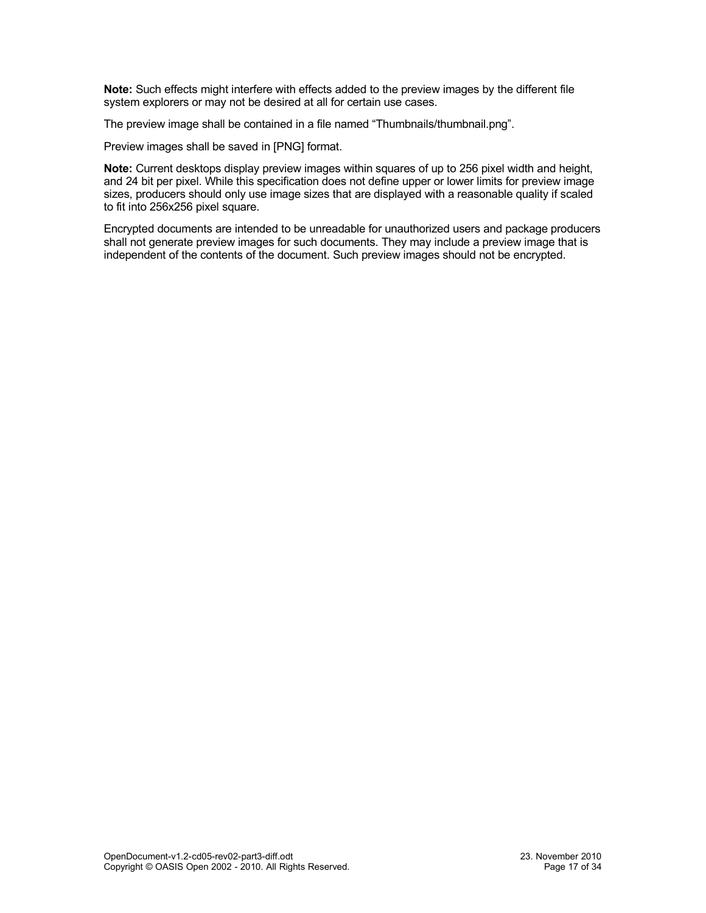**Note:** Such effects might interfere with effects added to the preview images by the different file system explorers or may not be desired at all for certain use cases.

The preview image shall be contained in a file named "Thumbnails/thumbnail.png".

Preview images shall be saved in [PNG] format.

**Note:** Current desktops display preview images within squares of up to 256 pixel width and height, and 24 bit per pixel. While this specification does not define upper or lower limits for preview image sizes, producers should only use image sizes that are displayed with a reasonable quality if scaled to fit into 256x256 pixel square.

Encrypted documents are intended to be unreadable for unauthorized users and package producers shall not generate preview images for such documents. They may include a preview image that is independent of the contents of the document. Such preview images should not be encrypted.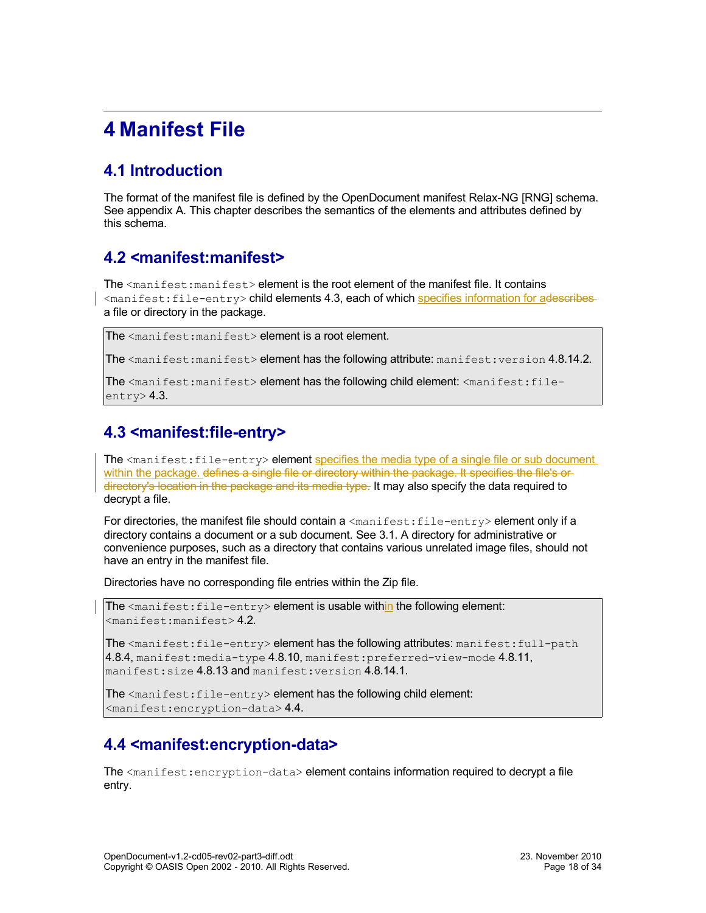# <span id="page-17-4"></span>**4 Manifest File**

## <span id="page-17-3"></span>**4.1 Introduction**

The format of the manifest file is defined by the OpenDocument manifest Relax-NG [RNG] schema. See appendix A. This chapter describes the semantics of the elements and attributes defined by this schema.

### <span id="page-17-2"></span>**4.2 <manifest:manifest>**

The <manifest: manifest> element is the root element of the manifest file. It contains <manifest:file-entry> child elements [4.3,](#page-17-1) each of which specifies information for adescribes a file or directory in the package.

The <manifest:manifest> element is a root element.

The  $\zeta$  manifest: manifest> element has the following attribute: manifest: version [4.8.14.2.](#page-24-4)

The <manifest:manifest> element has the following child element: <manifest:file $entrv$  $2.3$ .

## <span id="page-17-1"></span>**4.3 <manifest:file-entry>**

The <manifest: file-entry> element specifies the media type of a single file or sub document within the package, defines a single file or directory within the package. It specifies the file's ordirectory's location in the package and its media type. It may also specify the data required to decrypt a file.

For directories, the manifest file should contain  $a$  <manifest: file-entry> element only if a directory contains a document or a sub document. See [3.1.](#page-11-2) A directory for administrative or convenience purposes, such as a directory that contains various unrelated image files, should not have an entry in the manifest file.

Directories have no corresponding file entries within the Zip file.

The  $\zeta$  anifest: file-entry > element is usable within the following element:  $<$ manifest:manifest> [4.2.](#page-17-2)

The  $\zeta$  manifest: file-entry> element has the following attributes: manifest: full-path [4.8.4,](#page-21-2) manifest: media-type  $4.8.10$ , manifest: preferred-view-mode  $4.8.11$ , manifest:size [4.8.13](#page-24-1) and manifest:version [4.8.14.1.](#page-24-3)

The <manifest: file-entry> element has the following child element: <manifest:encryption-data> [4.4.](#page-17-0)

### <span id="page-17-0"></span>**4.4 <manifest:encryption-data>**

The  $\zeta$  manifest: encryption-data> element contains information required to decrypt a file entry.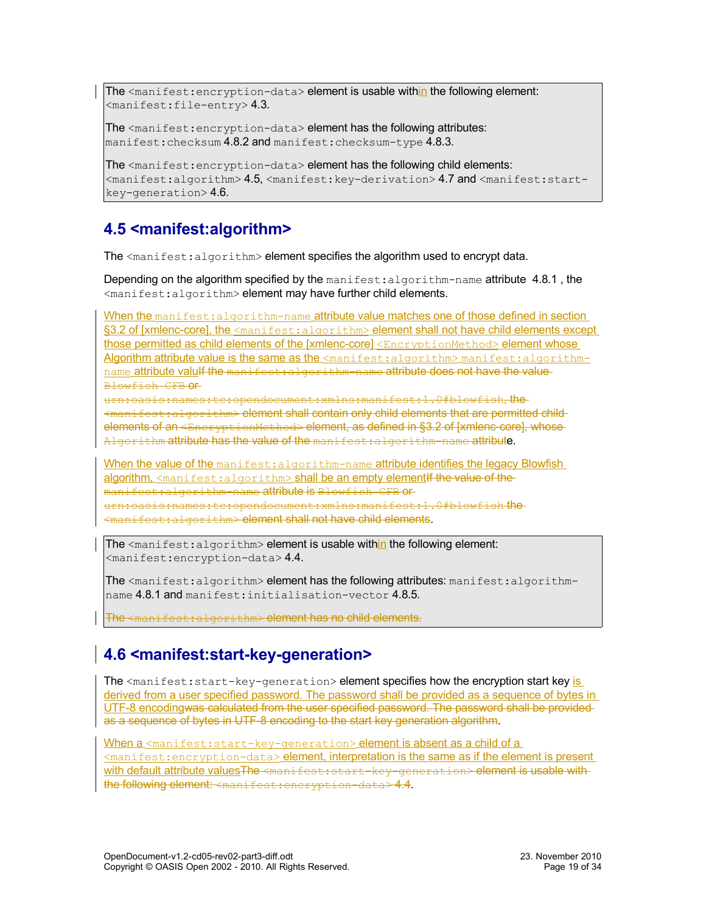The  $\zeta$  anifest: encryption-data> element is usable within the following element:  $<$ manifest:file-entry>[4.3.](#page-17-1)

The <manifest: encryption-data> element has the following attributes: manifest: checksum [4.8.2](#page-20-1) and manifest: checksum-type [4.8.3.](#page-20-0)

The <manifest:encryption-data> element has the following child elements: <manifest:algorithm> [4.5,](#page-18-1) <manifest:key-derivation> [4.7](#page-19-0) and <manifest:startkey-generation> [4.6.](#page-18-0)

## <span id="page-18-1"></span>**4.5 <manifest:algorithm>**

The  $\leq$ manifest: algorithm> element specifies the algorithm used to encrypt data.

Depending on the algorithm specified by the manifest: algorithm-name attribute 4.8.1, the <manifest:algorithm> element may have further child elements.

When the manifest: algorithm-name attribute value matches one of those defined in section §3.2 of [xmlenc-core], the <manifest:algorithm> element shall not have child elements except those permitted as child elements of the [xmlenc-core] <EncryptionMethod> element whose Algorithm attribute value is the same as the  $\leq$ manifest:algorithm> manifest:algorithmname attribute valulf the manifest: algorithm-name attribute does not have the value Blowfish CFB or

urn:oasis:names:tc:opendocument:xmlns:manifest:1.0#blowfish, the <manifest:algorithm> element shall contain only child elements that are permitted child elements of an <EncryptionMethod> element, as defined in §3.2 of [xmlenc-core], whose-Algorithm attribute has the value of the manifest: algorithm-name attribute.

When the value of the manifest: algorithm-name attribute identifies the legacy Blowfish algorithm,  $\zeta$  manifest: algorithm> shall be an empty element if the value of the manifest:algorithm-name attribute is Blowfish CFB or urn:oasis:names:tc:opendocument:xmlns:manifest:1.0#blowfish the  $mifest:$ algorithm> element shall not have child elements.

The  $\leq$ manifest: algorithm> element is usable within the following element: <manifest:encryption-data> [4.4.](#page-17-0)

The <manifest:algorithm> element has the following attributes: manifest:algorithmname [4.8.1](#page-19-1) and manifest:initialisation-vector [4.8.5.](#page-21-1)

The <manifest:algorithm> element has no child elements.

## <span id="page-18-0"></span>**4.6 <manifest:start-key-generation>**

The  $\zeta$  manifest: start-key-generation> element specifies how the encryption start key is derived from a user specified password. The password shall be provided as a sequence of bytes in UTF-8 encodingwas calculated from the user specified password. The password shall be provided as a sequence of bytes in UTF-8 encoding to the start key generation algorithm.

When a <manifest: start-key-generation> element is absent as a child of a <manifest:encryption-data> element, interpretation is the same as if the element is present with default attribute valuesThe <manifest:start-key-generation> element is usable withthe following element: <manifest:encryption-data> [4.4.](#page-17-0)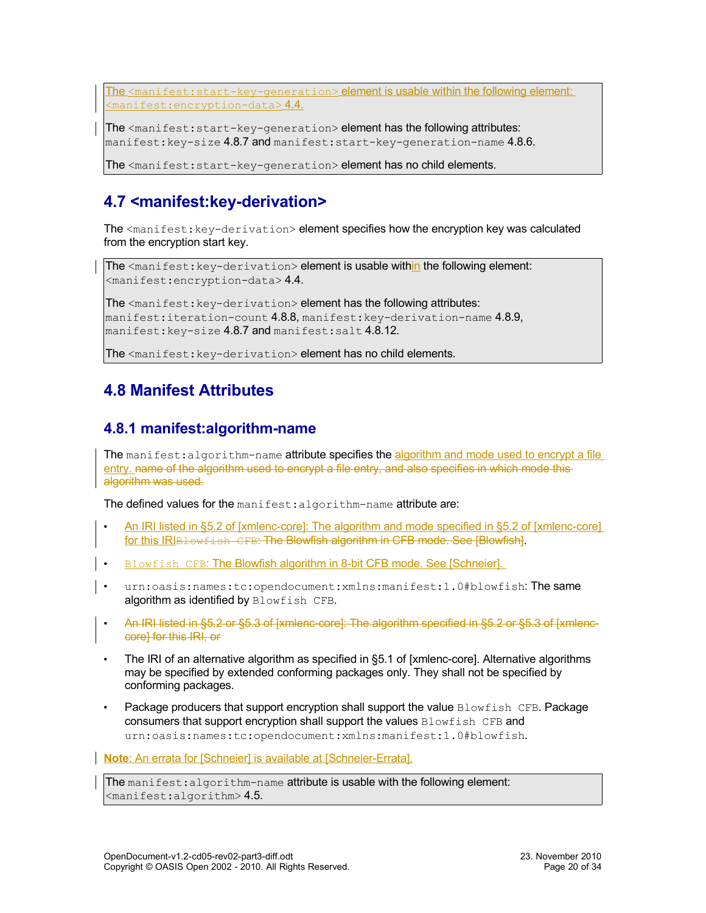The <manifest:start-key-generation> element is usable within the following element:  $<$ manifest:encryption-data>[4.4.](#page-17-0)

The <manifest: start-key-generation> element has the following attributes: manifest: key-size [4.8.7](#page-22-2) and manifest: start-key-generation-name [4.8.6.](#page-21-0)

The <manifest: start-key-generation> element has no child elements.

## <span id="page-19-0"></span>**4.7 <manifest:key-derivation>**

The <manifest: key-derivation> element specifies how the encryption key was calculated from the encryption start key.

The <manifest: key-derivation> element is usable within the following element: <manifest:encryption-data> [4.4.](#page-17-0)

The <manifest: key-derivation> element has the following attributes: manifest:iteration-count  $4.8.8$ , manifest:key-derivation-name  $4.8.9$ , manifest: key-size [4.8.7](#page-22-2) and manifest: salt [4.8.12.](#page-24-2)

The <manifest: key-derivation> element has no child elements.

### <span id="page-19-2"></span>**4.8 Manifest Attributes**

### <span id="page-19-1"></span>**4.8.1 manifest:algorithm-name**

The manifest: algorithm-name attribute specifies the algorithm and mode used to encrypt a file entry. name of the algorithm used to encrypt a file entry, and also specifies in which mode thisalgorithm was used.

The defined values for the manifest: algorithm-name attribute are:

- An IRI listed in §5.2 of [xmlenc-core] : The algorithm and mode specified in §5.2 of [xmlenc-core] for this IRIBLowfish CFB: The Blowfish algorithm in CFB mode. See [Blowfish].
- Blowfish CFB: The Blowfish algorithm in 8-bit CFB mode. See [Schneier].
- urn:oasis:names:tc:opendocument:xmlns:manifest:1.0#blowfish:The same algorithm as identified by Blowfish CFB.
- An IRI listed in §5.2 or §5.3 of [xmlenc-core]: The algorithm specified in §5.2 or §5.3 of [xmlenccore] for this IRI, or
- The IRI of an alternative algorithm as specified in §5.1 of [xmlenc-core]. Alternative algorithms may be specified by extended conforming packages only. They shall not be specified by conforming packages.
- Package producers that support encryption shall support the value Blowfish CFB. Package consumers that support encryption shall support the values Blowfish CFB and urn:oasis:names:tc:opendocument:xmlns:manifest:1.0#blowfish.

**Note:** An errata for [Schneier] is available at [Schneier-Errata].

The manifest: algorithm-name attribute is usable with the following element:  $<$ manifest:algorithm> [4.5.](#page-18-1)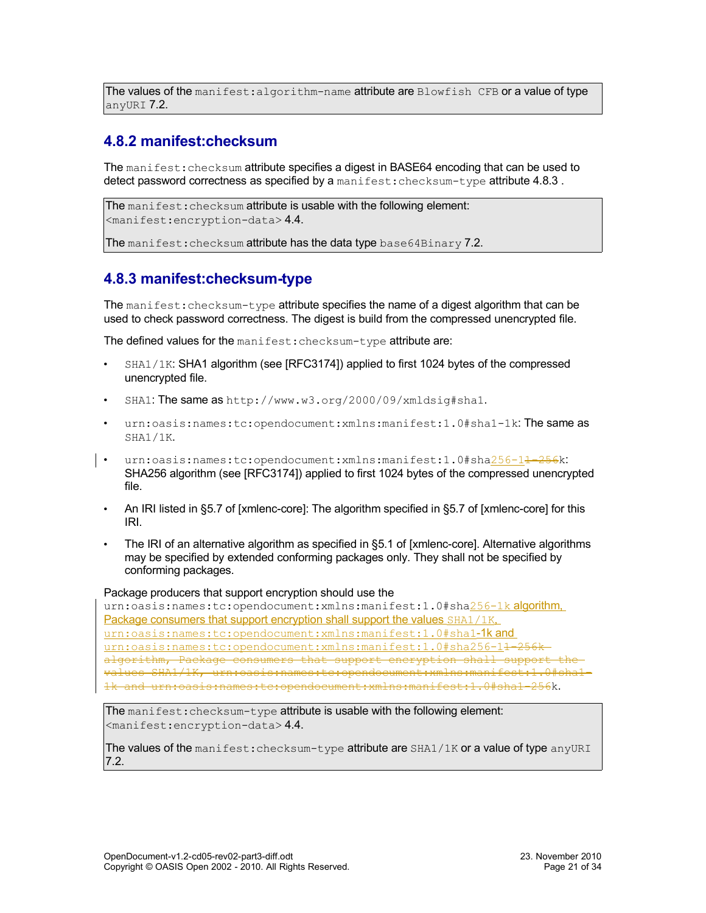The values of the manifest: algorithm-name attribute are  $B$ lowfish CFB or a value of type anyURI [7.2.](#page-30-5)

### <span id="page-20-1"></span>**4.8.2 manifest:checksum**

The manifest: checksum attribute specifies a digest in BASE64 encoding that can be used to detect password correctness as specified by a manifest: checksum-type attribute 4.8.3.

```
The manifest: checksum attribute is usable with the following element:
<manifest:encryption-data> 4.4.
```
The manifest: checksum attribute has the data type base64Binary [7.2.](#page-30-6)

### <span id="page-20-0"></span>**4.8.3 manifest:checksum-type**

The manifest: checksum-type attribute specifies the name of a digest algorithm that can be used to check password correctness. The digest is build from the compressed unencrypted file.

The defined values for the manifest: checksum-type attribute are:

- SHA1/1K: SHA1 algorithm (see [RFC3174]) applied to first 1024 bytes of the compressed unencrypted file.
- SHA1: The same as http://www.w3.org/2000/09/xmldsig#sha1.
- urn:oasis:names:tc:opendocument:xmlns:manifest:1.0#sha1-1k:The same as SHA1/1K.
- urn:oasis:names:tc:opendocument:xmlns:manifest:1.0#sha256-1<del>1-256</del>k: SHA256 algorithm (see [RFC3174]) applied to first 1024 bytes of the compressed unencrypted file.
	- An IRI listed in §5.7 of [xmlenc-core]: The algorithm specified in §5.7 of [xmlenc-core] for this IRI.
	- The IRI of an alternative algorithm as specified in §5.1 of [xmlenc-core]. Alternative algorithms may be specified by extended conforming packages only. They shall not be specified by conforming packages.

#### Package producers that support encryption should use the

urn:oasis:names:tc:opendocument:xmlns:manifest:1.0#sha256-1k algorithm, Package consumers that support encryption shall support the values SHA1/1K. urn:oasis:names:tc:opendocument:xmlns:manifest:1.0#sha1-1k and urn:oasis:names:tc:opendocument:xmlns:manifest:1.0#sha256-14-256kalgorithm, Package consumers that support encryption shall support values SHA1/1K, urn:oasis:names:tc:opendocument:xmlns:manifest:1.0#sha1- 1k and urn:oasis:names:tc:opendocument:xmlns:manifest:1.0#sha1-256k.

The manifest: checksum-type attribute is usable with the following element: <manifest:encryption-data> [4.4.](#page-17-0)

The values of the manifest: checksum-type attribute are SHA1/1K or a value of type anyURI [7.2.](#page-30-5)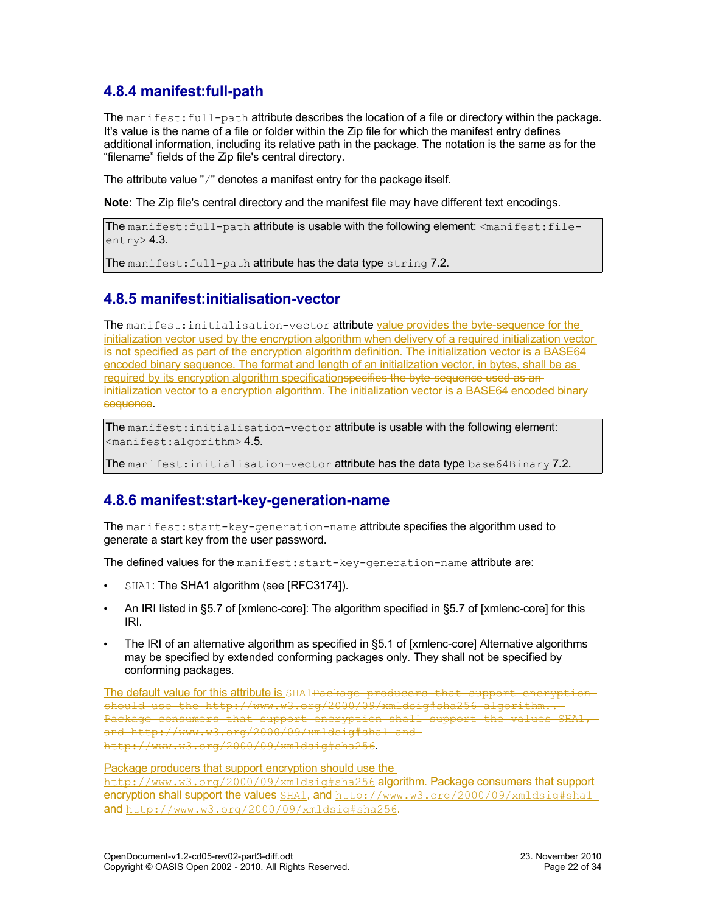### <span id="page-21-2"></span>**4.8.4 manifest:full-path**

The manifest: full-path attribute describes the location of a file or directory within the package. It's value is the name of a file or folder within the Zip file for which the manifest entry defines additional information, including its relative path in the package. The notation is the same as for the "filename" fields of the Zip file's central directory.

The attribute value "/" denotes a manifest entry for the package itself.

**Note:** The Zip file's central directory and the manifest file may have different text encodings.

```
The manifest:full-path attribute is usable with the following element: <manifest:file-
entry> 4.3.
```
The manifest: full-path attribute has the data type string [7.2.](#page-30-7)

#### <span id="page-21-1"></span>**4.8.5 manifest:initialisation-vector**

The manifest: initialisation-vector attribute value provides the byte-sequence for the initialization vector used by the encryption algorithm when delivery of a required initialization vector is not specified as part of the encryption algorithm definition. The initialization vector is a BASE64 encoded binary sequence. The format and length of an initialization vector, in bytes, shall be as required by its encryption algorithm specificationspecifies the byte-sequence used as aninitialization vector to a encryption algorithm. The initialization vector is a BASE64 encoded binarysequence.

The manifest: initialisation-vector attribute is usable with the following element: <manifest:algorithm> [4.5.](#page-18-1)

The manifest: initialisation-vector attribute has the data type base64Binary [7.2.](#page-30-6)

### <span id="page-21-0"></span>**4.8.6 manifest:start-key-generation-name**

The manifest:start-key-generation-name attribute specifies the algorithm used to generate a start key from the user password.

The defined values for the manifest: start-key-generation-name attribute are:

- SHA1: The SHA1 algorithm (see [RFC3174]).
- An IRI listed in §5.7 of [xmlenc-core]: The algorithm specified in §5.7 of [xmlenc-core] for this IRI.
- The IRI of an alternative algorithm as specified in §5.1 of [xmlenc-core] Alternative algorithms may be specified by extended conforming packages only. They shall not be specified by conforming packages.

The default value for this attribute is SHA1Package producers that support encryptionshould use the http://www.w3.org/2000/09/xmldsig#sha256 algorithm.. Package consumers that support encryption shall support the values SHA1, and http://www.w3.org/2000/09/xmldsig#sha1 and http://www.w3.org/2000/09/xmldsig#sha256.

Package producers that support encryption should use the http://www.w3.org/2000/09/xmldsig#sha256 algorithm. Package consumers that support encryption shall support the values SHA1, and http://www.w3.org/2000/09/xmldsig#sha1 and http://www.w3.org/2000/09/xmldsig#sha256.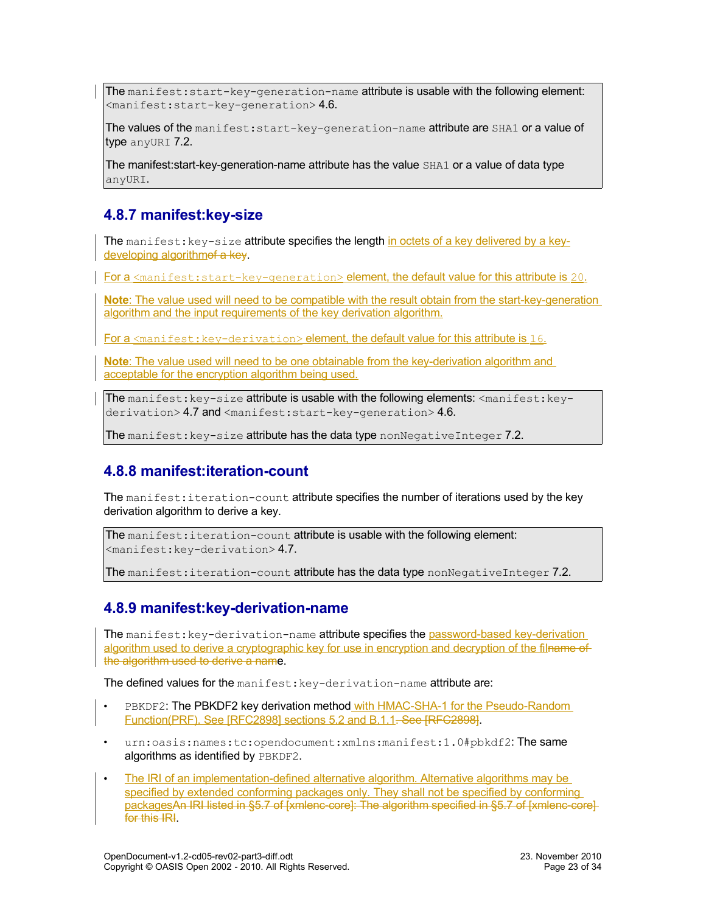The manifest:  $start-key-generation-name$  attribute is usable with the following element:  $<$ manifest:start-key-generation> [4.6.](#page-18-0)

The values of the manifest: start-key-generation-name attribute are SHA1 or a value of type anyURI [7.2.](#page-30-5)

The manifest:start-key-generation-name attribute has the value SHA1 or a value of data type anyURI.

#### <span id="page-22-2"></span>**4.8.7 manifest:key-size**

The manifest:  $key-size$  attribute specifies the length in octets of a key delivered by a keydeveloping algorithmof a key.

For a  $\epsilon$  and fest: start-key-generation> element, the default value for this attribute is 20.

**Note**: The value used will need to be compatible with the result obtain from the start-key-generation algorithm and the input requirements of the key derivation algorithm.

For a <manifest: key-derivation> element, the default value for this attribute is 16.

**Note**: The value used will need to be one obtainable from the key-derivation algorithm and acceptable for the encryption algorithm being used.

The manifest:  $key-size$  attribute is usable with the following elements:  $\langle$ manifest:  $key-$ derivation> [4.7](#page-19-0) and <manifest:start-key-generation> [4.6.](#page-18-0)

The manifest:  $key-size$  attribute has the data type nonNegativeInteger [7.2.](#page-30-8)

#### <span id="page-22-1"></span>**4.8.8 manifest:iteration-count**

The manifest: iteration-count attribute specifies the number of iterations used by the key derivation algorithm to derive a key.

The manifest: iteration-count attribute is usable with the following element:  $<$ manifest:key-derivation $> 4.7$ .

The manifest: iteration-count attribute has the data type nonNegativeInteger [7.2.](#page-30-8)

#### <span id="page-22-0"></span>**4.8.9 manifest:key-derivation-name**

The manifest: key-derivation-name attribute specifies the password-based key-derivation algorithm used to derive a cryptographic key for use in encryption and decryption of the filname of the algorithm used to derive a name.

The defined values for the manifest: key-derivation-name attribute are:

- PBKDF2: The PBKDF2 key derivation method with HMAC-SHA-1 for the Pseudo-Random Function(PRF). See [RFC2898] sections 5.2 and B.1.1. See [RFC2898].
- urn:oasis:names:tc:opendocument:xmlns:manifest:1.0#pbkdf2:The same algorithms as identified by PBKDF2.
- The IRI of an implementation-defined alternative algorithm. Alternative algorithms may be specified by extended conforming packages only. They shall not be specified by conforming packagesAn IRI listed in §5.7 of [xmlenc-core]: The algorithm specified in §5.7 of [xmlenc-core] for this **IRI**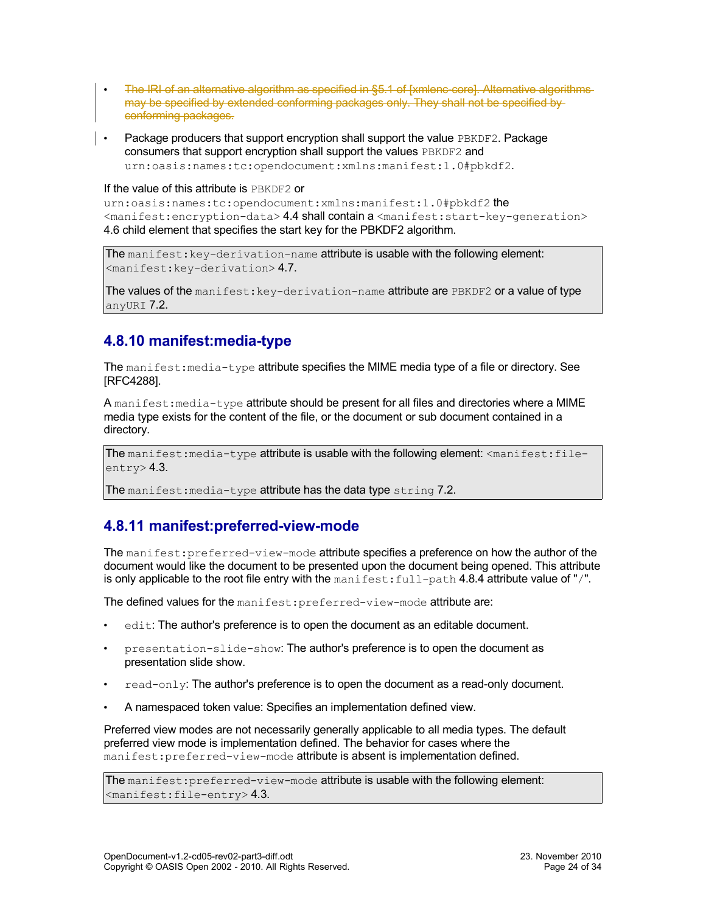- The IRI of an alternative algorithm as specified in §5.1 of [xmlenc-core]. Alternative algorithms may be specified by extended conforming packages only. They shall not be specified by conforming packages.
- Package producers that support encryption shall support the value PBKDF2. Package consumers that support encryption shall support the values PBKDF2 and urn:oasis:names:tc:opendocument:xmlns:manifest:1.0#pbkdf2.

#### If the value of this attribute is PBKDF2 or

urn:oasis:names:tc:opendocument:xmlns:manifest:1.0#pbkdf2 the <manifest:encryption-data> [4.4](#page-17-0) shall contain a <manifest:start-key-generation> [4.6](#page-18-0) child element that specifies the start key for the PBKDF2 algorithm.

The manifest: key-derivation-name attribute is usable with the following element: <manifest:key-derivation> [4.7.](#page-19-0)

The values of the manifest:  $key$ -derivation-name attribute are  $PBE$ DF2 or a value of type anyURI [7.2.](#page-30-5)

### <span id="page-23-1"></span>**4.8.10 manifest:media-type**

The manifest: media-type attribute specifies the MIME media type of a file or directory. See [RFC4288].

A manifest: media-type attribute should be present for all files and directories where a MIME media type exists for the content of the file, or the document or sub document contained in a directory.

The manifest: media-type attribute is usable with the following element:  $\zeta$  manifest: fileentry> [4.3.](#page-17-1)

The manifest: media-type attribute has the data type string [7.2.](#page-30-7)

#### <span id="page-23-0"></span>**4.8.11 manifest:preferred-view-mode**

The manifest: preferred-view-mode attribute specifies a preference on how the author of the document would like the document to be presented upon the document being opened. This attribute is only applicable to the root file entry with the manifest:  $full-path 4.8.4$  attribute value of "/".

The defined values for the manifest: preferred-view-mode attribute are:

- edit: The author's preference is to open the document as an editable document.
- presentation-slide-show: The author's preference is to open the document as presentation slide show.
- $read-only$ : The author's preference is to open the document as a read-only document.
- A namespaced token value: Specifies an implementation defined view.

Preferred view modes are not necessarily generally applicable to all media types. The default preferred view mode is implementation defined. The behavior for cases where the manifest: preferred-view-mode attribute is absent is implementation defined.

The manifest: preferred-view-mode attribute is usable with the following element:  $\langle$ manifest:file-entry>[4.3.](#page-17-1)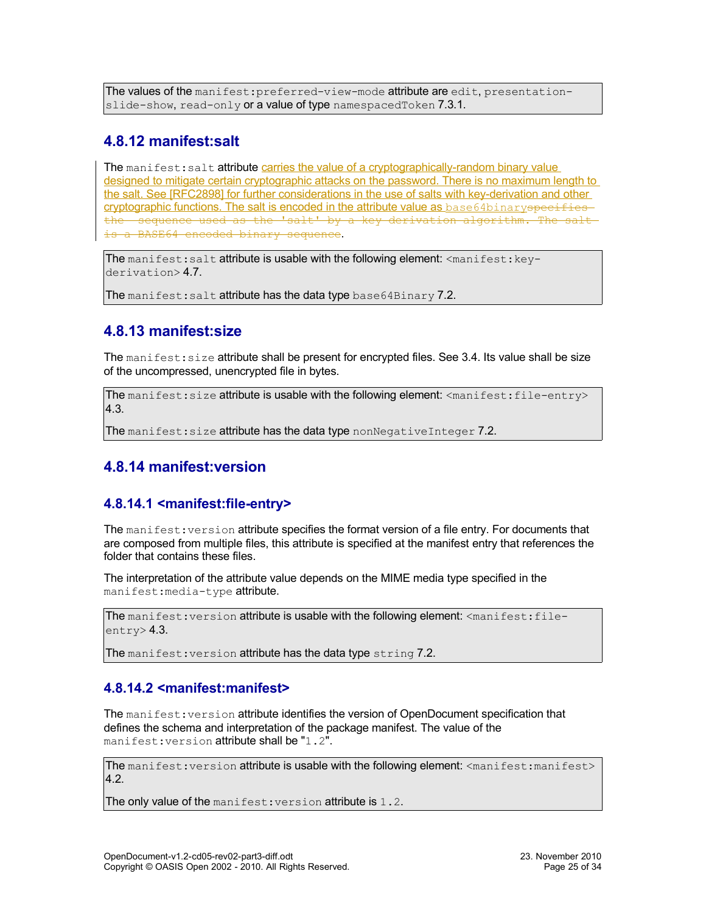The values of the manifest: preferred-view-mode attribute are edit, presentation-slide-show, read-only or a value of type namespacedToken [7.3.1.](#page-30-0)

#### <span id="page-24-2"></span>**4.8.12 manifest:salt**

The manifest: salt attribute carries the value of a cryptographically-random binary value designed to mitigate certain cryptographic attacks on the password. There is no maximum length to the salt. See [RFC2898] for further considerations in the use of salts with key-derivation and other cryptographic functions. The salt is encoded in the attribute value as base64binaryspecifies the sequence used as the 'salt' by a key derivation algorithm. The salt is a BASE64 encoded binary sequence.

The manifest: salt attribute is usable with the following element:  $\langle$ manifest:  $key-$ derivation> [4.7.](#page-19-0)

The manifest: salt attribute has the data type base  $64 \text{Binary } 7.2$ .

### <span id="page-24-1"></span>**4.8.13 manifest:size**

The manifest: size attribute shall be present for encrypted files. See [3.4.](#page-12-2) Its value shall be size of the uncompressed, unencrypted file in bytes.

The manifest: size attribute is usable with the following element: <manifest: file-entry> [4.3.](#page-17-1)

The manifest: size attribute has the data type nonNegativeInteger [7.2.](#page-30-8)

### <span id="page-24-0"></span>**4.8.14 manifest:version**

#### <span id="page-24-3"></span>**4.8.14.1 <manifest:file-entry>**

The manifest: version attribute specifies the format version of a file entry. For documents that are composed from multiple files, this attribute is specified at the manifest entry that references the folder that contains these files.

The interpretation of the attribute value depends on the MIME media type specified in the manifest:media-type attribute.

The manifest: version attribute is usable with the following element: <manifest:fileentry> [4.3.](#page-17-1)

The manifest: version attribute has the data type string [7.2.](#page-30-7)

#### <span id="page-24-4"></span>**4.8.14.2 <manifest:manifest>**

The manifest: version attribute identifies the version of OpenDocument specification that defines the schema and interpretation of the package manifest. The value of the manifest: version attribute shall be "1.2".

The manifest: version attribute is usable with the following element: <manifest:manifest> [4.2.](#page-17-2)

The only value of the manifest: version attribute is 1.2.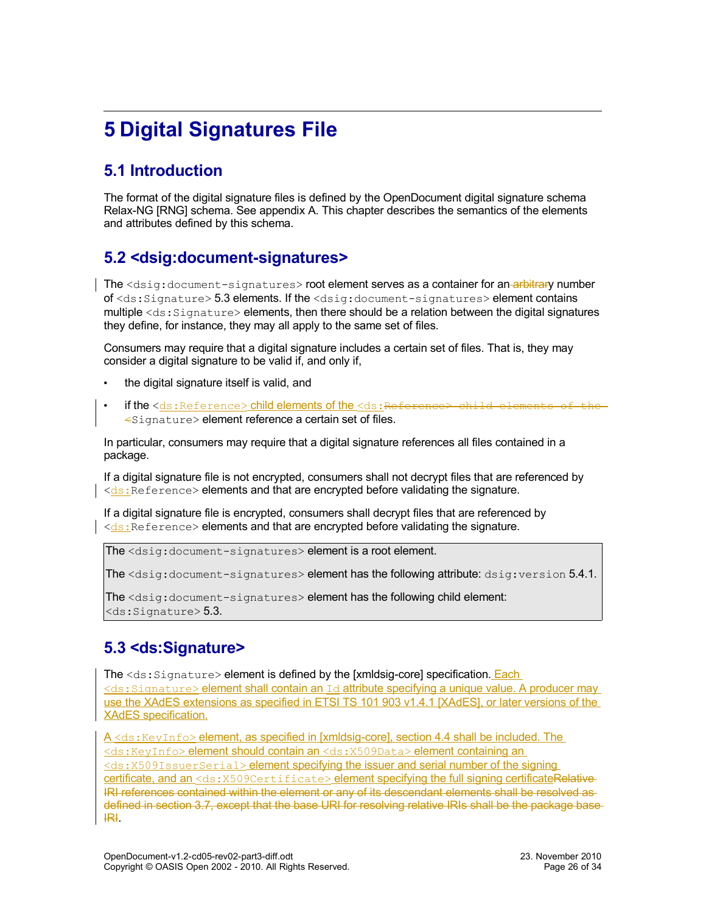# <span id="page-25-3"></span>**5 Digital Signatures File**

## <span id="page-25-2"></span>**5.1 Introduction**

The format of the digital signature files is defined by the OpenDocument digital signature schema Relax-NG [RNG] schema. See appendix A. This chapter describes the semantics of the elements and attributes defined by this schema.

### <span id="page-25-1"></span>**5.2 <dsig:document-signatures>**

The <dsig:document-signatures> root element serves as a container for an-arbitrary number of <ds:Signature> [5.3](#page-25-0) elements. If the <dsig:document-signatures> element contains multiple  $\langle ds:Signature\rangle$  elements, then there should be a relation between the digital signatures they define, for instance, they may all apply to the same set of files.

Consumers may require that a digital signature includes a certain set of files. That is, they may consider a digital signature to be valid if, and only if,

- the digital signature itself is valid, and
- if the <ds:Reference> child elements of the <ds:Reference> child elements of the <Signature> element reference a certain set of files.

In particular, consumers may require that a digital signature references all files contained in a package.

If a digital signature file is not encrypted, consumers shall not decrypt files that are referenced by  $\vert \langle ds : \vert \rangle$  Reference > elements and that are encrypted before validating the signature.

If a digital signature file is encrypted, consumers shall decrypt files that are referenced by  $\le$ ds: Reference> elements and that are encrypted before validating the signature.

The <dsig:document-signatures> element is a root element.

The <dsig:document-signatures> element has the following attribute: dsig:version [5.4.1.](#page-27-0)

The <dsig:document-signatures> element has the following child element:  $<$ ds: Signature $>$  [5.3.](#page-25-0)

### <span id="page-25-0"></span>**5.3 <ds:Signature>**

The <ds: Signature> element is defined by the [xmldsig-core] specification. Each <ds:Signature> element shall contain an Id attribute specifying a unique value. A producer may use the XAdES extensions as specified in ETSI TS 101 903 v1.4.1 [XAdES], or later versions of the XAdES specification.

A <ds: KeyInfo> element, as specified in [xmldsig-core], section 4.4 shall be included. The <ds:KeyInfo> element should contain an <ds:X509Data> element containing an <ds:X509IssuerSerial> element specifying the issuer and serial number of the signing certificate, and an <ds: X509Certificate> element specifying the full signing certificateRelative-IRI references contained within the element or any of its descendant elements shall be resolved as defined in section [3.7,](#page-13-0) except that the base URI for resolving relative IRIs shall be the package base IRI.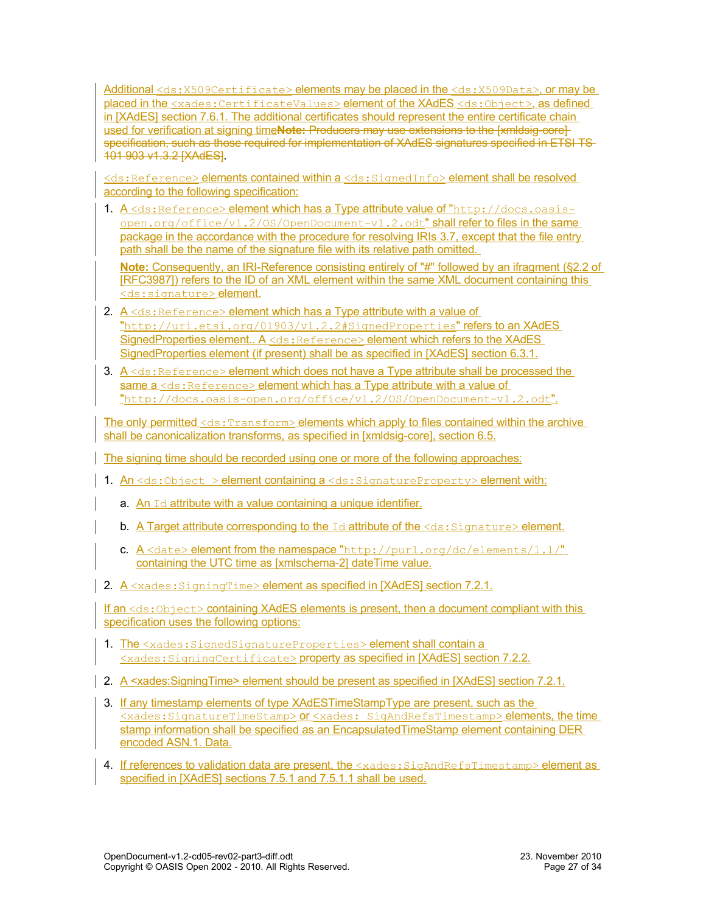Additional <ds:X509Certificate> elements may be placed in the <ds:X509Data>, or may be placed in the <xades:CertificateValues>element of the XAdES <ds:Object>, as defined in [XAdES] section 7.6.1. The additional certificates should represent the entire certificate chain used for verification at signing time**Note:** Producers may use extensions to the [xmldsig-core] specification, such as those required for implementation of XAdES signatures specified in ETSI TS-101 903 v1.3.2 [XAdES].

<ds:Reference> elements contained within a <ds:SignedInfo> element shall be resolved according to the following specification:

1. A <ds:Reference> element which has a Type attribute value of "http://docs.oasis $open.org/office/v1.2/OS/OpenDocument-v1.2.odt''$  shall refer to files in the same package in the accordance with the procedure for resolving IRIs [3.7,](#page-13-0) except that the file entry path shall be the name of the signature file with its relative path omitted.

**Note:** Consequently, an IRI-Reference consisting entirely of "#" followed by an ifragment (§2.2 of [RFC3987]) refers to the ID of an XML element within the same XML document containing this <ds: signature> element.

- 2.  $A \le ds$ : Reference> element which has a Type attribute with a value of "http://uri.etsi.org/01903/v1.2.2#SignedProperties" refers to an XAdES SignedProperties element.. A <ds:Reference> element which refers to the XAdES SignedProperties element (if present) shall be as specified in [XAdES] section 6.3.1.
- 3.  $A \leq ds$ : Reference> element which does not have a Type attribute shall be processed the same a <ds: Reference> element which has a Type attribute with a value of "http://docs.oasis-open.org/office/v1.2/OS/OpenDocument-v1.2.odt".

The only permitted <ds: Transform> elements which apply to files contained within the archive shall be canonicalization transforms, as specified in [xmldsig-core], section 6.5.

The signing time should be recorded using one or more of the following approaches:

- 1. An  $\leq$ ds:Object > element containing a  $\leq$ ds:SignatureProperty> element with:
	- a. An  $Id$  attribute with a value containing a unique identifier.
	- **b.** A Target attribute corresponding to the  $Id$  attribute of the  $\langle ds : S \rangle$  ignature  $\rangle$  element.
	- c.  $A \leq$ date> element from the namespace "http://purl.org/dc/elements/1.1/" containing the UTC time as [xmlschema-2] dateTime value.
- 2. A <xades: SigningTime> element as specified in [XAdES] section 7.2.1.

If an <ds: Object> containing XAdES elements is present, then a document compliant with this specification uses the following options:

- 1. The <xades: SignedSignatureProperties> element shall contain a <xades:SigningCertificate> property as specified in [XAdES] section 7.2.2.
- 2. A <xades: Signing Time> element should be present as specified in [XAdES] section 7.2.1.
- 3. If any timestamp elements of type XAdESTimeStampType are present, such as the <xades:SignatureTimeStamp> or <xades: SigAndRefsTimestamp> elements, the time stamp information shall be specified as an Encapsulated TimeStamp element containing DER encoded ASN.1. Data.
- 4. If references to validation data are present, the <xades: SigAndRefsTimestamp> element as specified in [XAdES] sections 7.5.1 and 7.5.1.1 shall be used.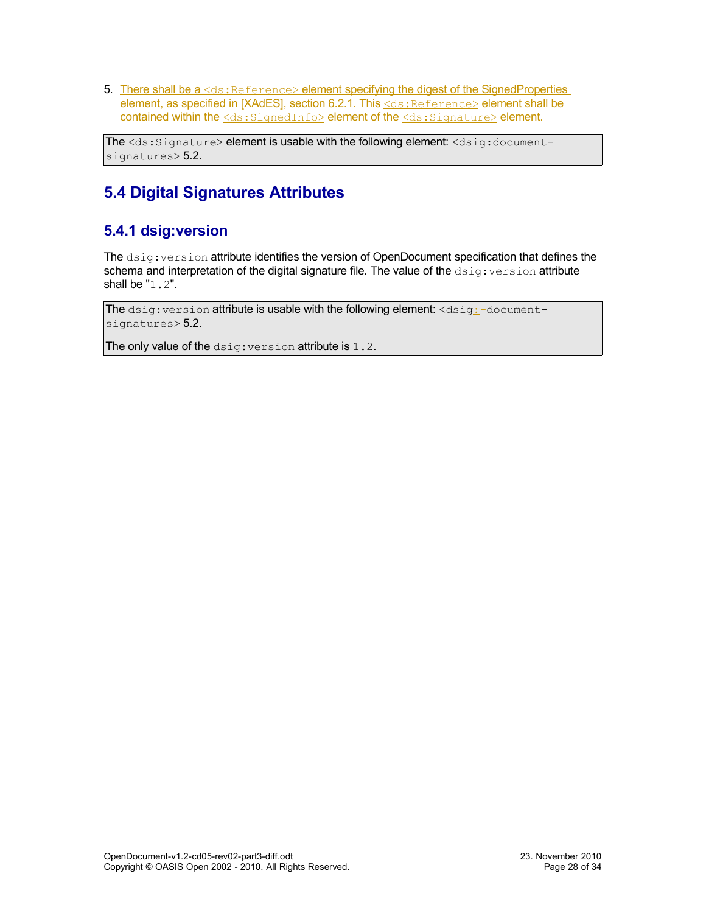5. There shall be a <ds: Reference> element specifying the digest of the SignedProperties element, as specified in [XAdES], section 6.2.1. This <ds: Reference> element shall be contained within the <ds: SignedInfo> element of the <ds: Signature> element.

The <ds:Signature> element is usable with the following element: <dsig:documentsignatures> [5.2.](#page-25-1)

## <span id="page-27-1"></span>**5.4 Digital Signatures Attributes**

### <span id="page-27-0"></span>**5.4.1 dsig:version**

The dsig:version attribute identifies the version of OpenDocument specification that defines the schema and interpretation of the digital signature file. The value of the  $dsig:version$  attribute shall be "1.2".

The  $disig:version$  attribute is usable with the following element:  $$ signatures> [5.2.](#page-25-1)

The only value of the dsig: version attribute is 1.2.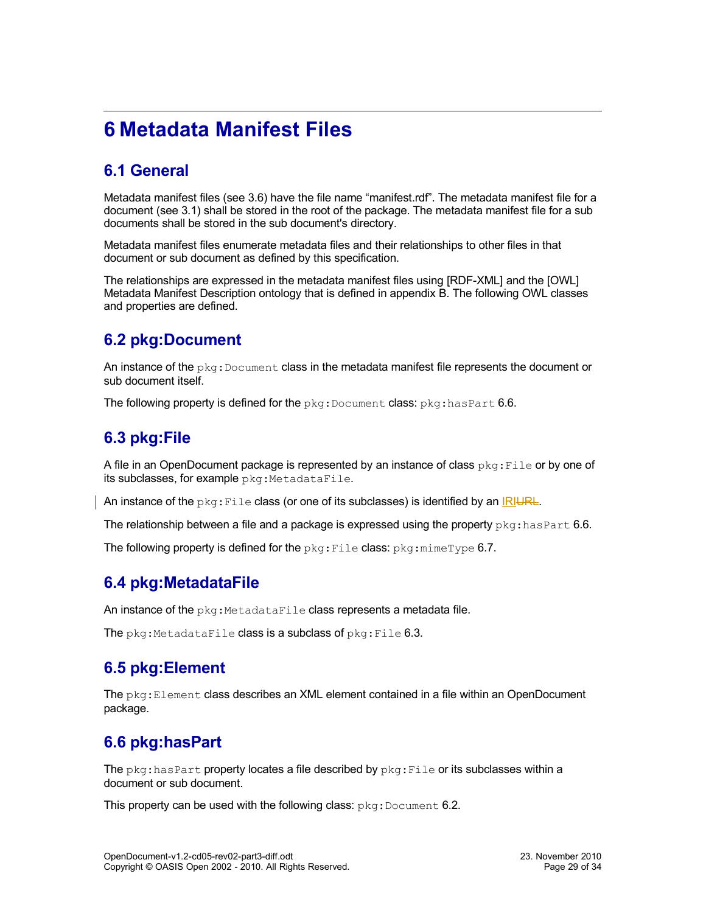# <span id="page-28-6"></span>**6 Metadata Manifest Files**

## <span id="page-28-5"></span>**6.1 General**

Metadata manifest files (see [3.6\)](#page-13-1) have the file name "manifest.rdf". The metadata manifest file for a document (see [3.1\)](#page-11-2) shall be stored in the root of the package. The metadata manifest file for a sub documents shall be stored in the sub document's directory.

Metadata manifest files enumerate metadata files and their relationships to other files in that document or sub document as defined by this specification.

The relationships are expressed in the metadata manifest files using [RDF-XML] and the [OWL] Metadata Manifest Description ontology that is defined in appendix B. The following OWL classes and properties are defined.

### <span id="page-28-4"></span>**6.2 pkg:Document**

An instance of the  $pkg:Document$  class in the metadata manifest file represents the document or sub document itself.

The following property is defined for the  $pkq:Document$  class:  $pkq:hasPart 6.6$ .

### <span id="page-28-3"></span>**6.3 pkg:File**

A file in an OpenDocument package is represented by an instance of class  $pkq:File$  or by one of its subclasses, for example pkg: MetadataFile.

An instance of the  $pkg$ : File class (or one of its subclasses) is identified by an IRIURL.

The relationship between a file and a package is expressed using the property  $pkg:hasPart 6.6$ .

The following property is defined for the  $pkg$ : File class:  $pkg$ :  $min$  $ype$  [6.7.](#page-29-0)

### <span id="page-28-2"></span>**6.4 pkg:MetadataFile**

An instance of the  $pkq$ : MetadataFile class represents a metadata file.

The  $pkq$ :MetadataFile class is a subclass of  $pkq$ :File [6.3.](#page-28-3)

### <span id="page-28-1"></span>**6.5 pkg:Element**

The  $pkq:Element$  class describes an XML element contained in a file within an OpenDocument package.

### <span id="page-28-0"></span>**6.6 pkg:hasPart**

The  $pkq:hasPart$  property locates a file described by  $pkq:File$  or its subclasses within a document or sub document.

This property can be used with the following class:  $pkg:Document 6.2$ .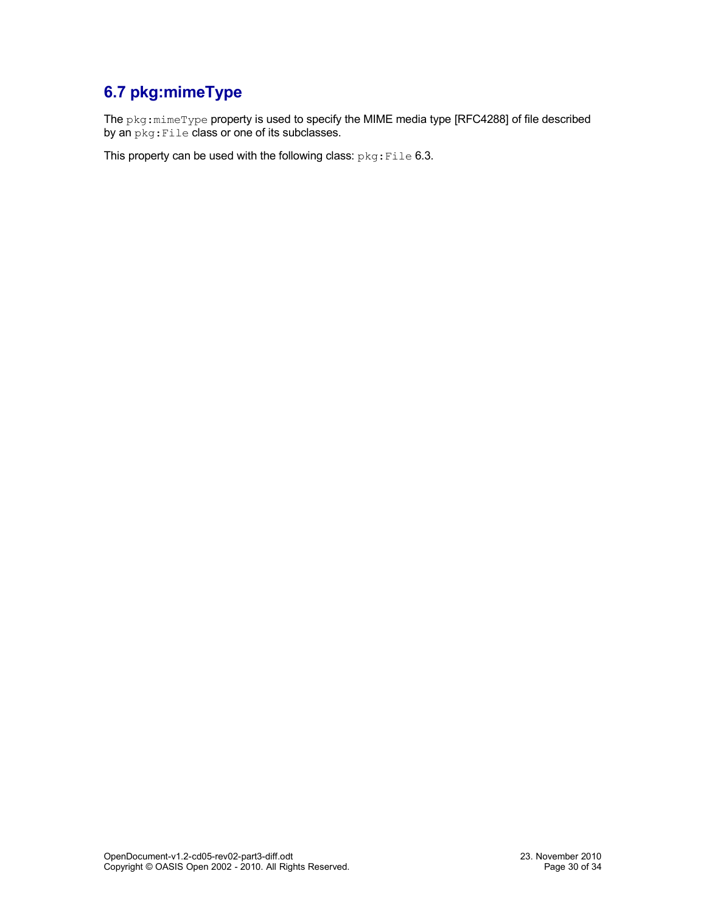## <span id="page-29-0"></span>**6.7 pkg:mimeType**

The pkg:mimeType property is used to specify the MIME media type [RFC4288] of file described by an  $pkg:File$  class or one of its subclasses.

This property can be used with the following class:  $pkg:File 6.3$ .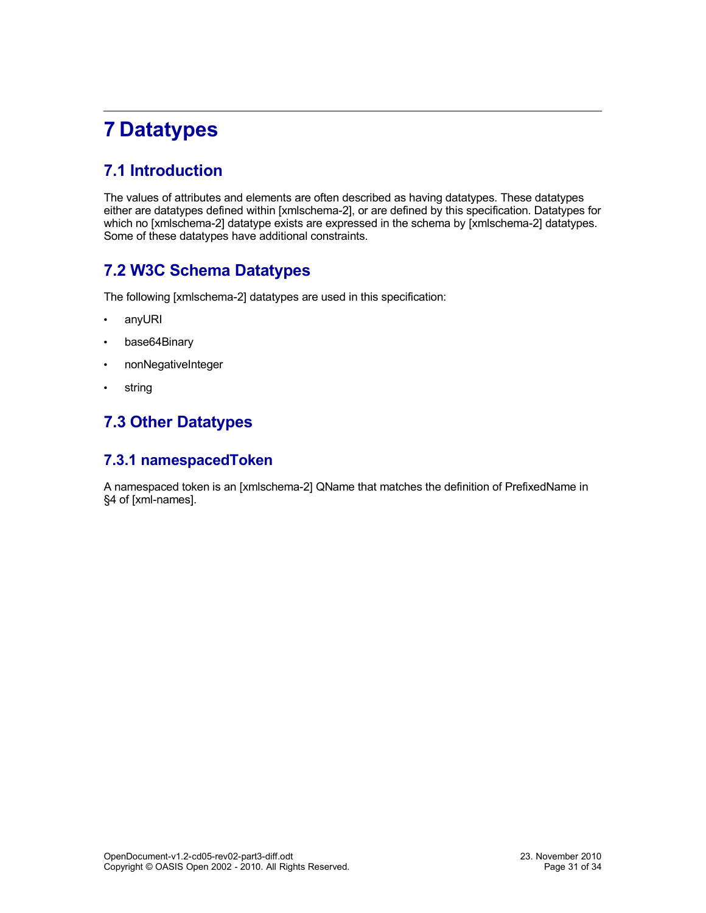# <span id="page-30-4"></span>**7 Datatypes**

## <span id="page-30-3"></span>**7.1 Introduction**

The values of attributes and elements are often described as having datatypes. These datatypes either are datatypes defined within [xmlschema-2], or are defined by this specification. Datatypes for which no [xmlschema-2] datatype exists are expressed in the schema by [xmlschema-2] datatypes. Some of these datatypes have additional constraints.

### <span id="page-30-2"></span>**7.2 W3C Schema Datatypes**

The following [xmlschema-2] datatypes are used in this specification:

- <span id="page-30-5"></span>• anyURI
- <span id="page-30-6"></span>• base64Binary
- <span id="page-30-8"></span>• nonNegativeInteger
- <span id="page-30-7"></span>• string

## <span id="page-30-1"></span>**7.3 Other Datatypes**

#### <span id="page-30-0"></span>**7.3.1 namespacedToken**

A namespaced token is an [xmlschema-2] QName that matches the definition of PrefixedName in §4 of [xml-names].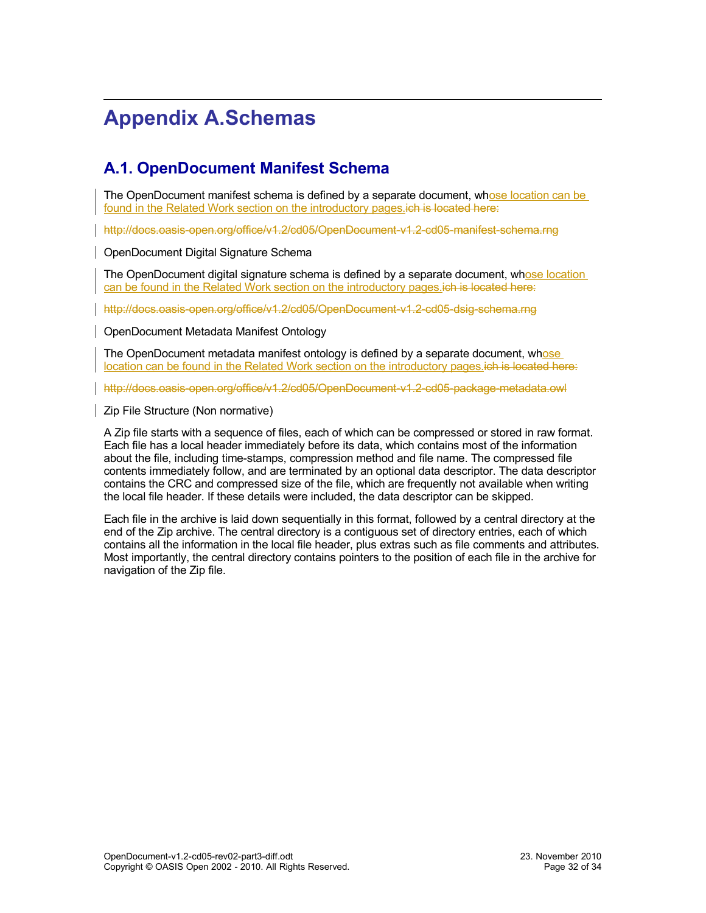# <span id="page-31-2"></span>**Appendix A.Schemas**

### <span id="page-31-1"></span>**A.1. OpenDocument Manifest Schema**

The OpenDocument manifest schema is defined by a separate document, whose location can be found in the [Related Work](#page-1-0) section on the introductory pages ich is located here:

<http://docs.oasis-open.org/office/v1.2/cd05/OpenDocument-v1.2-cd05-manifest-schema.rng>

<span id="page-31-0"></span>OpenDocument Digital Signature Schema

The OpenDocument digital signature schema is defined by a separate document, whose location can be found in the [Related Work](#page-1-0) section on the introductory pages.ich is located here:

<http://docs.oasis-open.org/office/v1.2/cd05/OpenDocument-v1.2-cd05-dsig-schema.rng>

<span id="page-31-4"></span>OpenDocument Metadata Manifest Ontology

The OpenDocument metadata manifest ontology is defined by a separate document, whose location can be found in the [Related Work](#page-1-0) section on the introductory pages.ich is located here:

<http://docs.oasis-open.org/office/v1.2/cd05/OpenDocument-v1.2-cd05-package-metadata.owl>

<span id="page-31-3"></span>Zip File Structure (Non normative)

A Zip file starts with a sequence of files, each of which can be compressed or stored in raw format. Each file has a local header immediately before its data, which contains most of the information about the file, including time-stamps, compression method and file name. The compressed file contents immediately follow, and are terminated by an optional data descriptor. The data descriptor contains the CRC and compressed size of the file, which are frequently not available when writing the local file header. If these details were included, the data descriptor can be skipped.

Each file in the archive is laid down sequentially in this format, followed by a central directory at the end of the Zip archive. The central directory is a contiguous set of directory entries, each of which contains all the information in the local file header, plus extras such as file comments and attributes. Most importantly, the central directory contains pointers to the position of each file in the archive for navigation of the Zip file.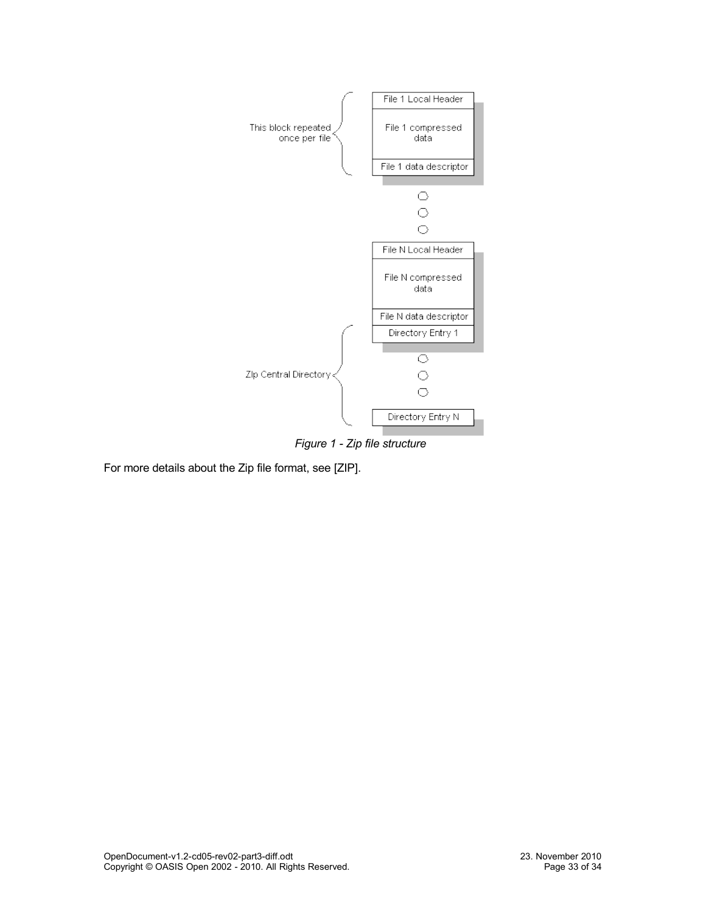

*Figure 1 - Zip file structure*

For more details about the Zip file format, see [ZIP].